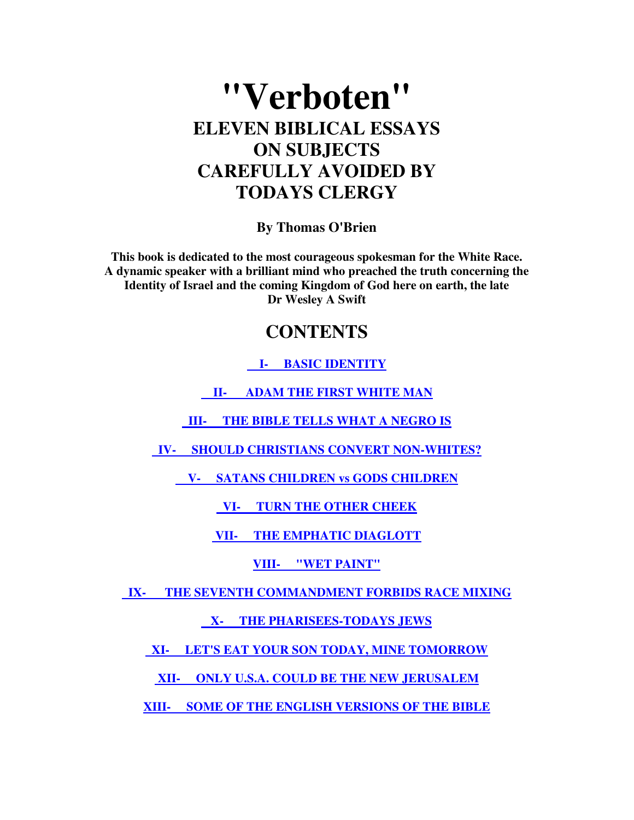## **"Verboten" ELEVEN BIBLICAL ESSAYS ON SUBJECTS CAREFULLY AVOIDED BY TODAYS CLERGY**

**By Thomas O'Brien** 

**This book is dedicated to the most courageous spokesman for the White Race. A dynamic speaker with a brilliant mind who preached the truth concerning the Identity of Israel and the coming Kingdom of God here on earth, the late Dr Wesley A Swift**

### **CONTENTS**

 **I- BASIC IDENTITY**

 **II- ADAM THE FIRST WHITE MAN**

 **III- THE BIBLE TELLS WHAT A NEGRO IS**

 **IV- SHOULD CHRISTIANS CONVERT NON-WHITES?**

 **V- SATANS CHILDREN vs GODS CHILDREN**

 **VI- TURN THE OTHER CHEEK**

 **VII- THE EMPHATIC DIAGLOTT**

**VIII- "WET PAINT"**

 **IX- THE SEVENTH COMMANDMENT FORBIDS RACE MIXING**

 **X- THE PHARISEES-TODAYS JEWS**

 **XI- LET'S EAT YOUR SON TODAY, MINE TOMORROW**

 **XII- ONLY U.S.A. COULD BE THE NEW JERUSALEM**

**XIII- SOME OF THE ENGLISH VERSIONS OF THE BIBLE**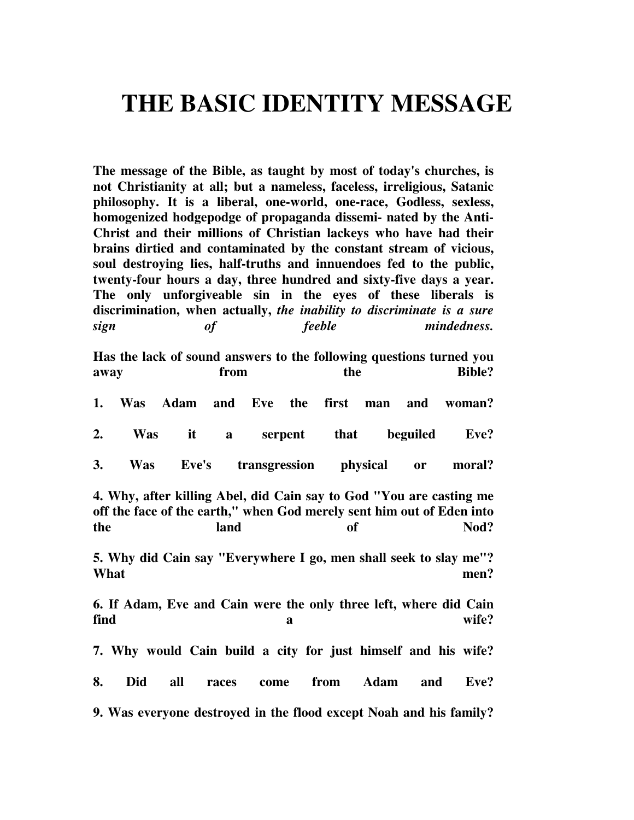## **THE BASIC IDENTITY MESSAGE**

**The message of the Bible, as taught by most of today's churches, is not Christianity at all; but a nameless, faceless, irreligious, Satanic philosophy. It is a liberal, one-world, one-race, Godless, sexless, homogenized hodgepodge of propaganda dissemi- nated by the Anti-Christ and their millions of Christian lackeys who have had their brains dirtied and contaminated by the constant stream of vicious, soul destroying lies, half-truths and innuendoes fed to the public, twenty-four hours a day, three hundred and sixty-five days a year. The only unforgiveable sin in the eyes of these liberals is discrimination, when actually,** *the inability to discriminate is a sure sign of feeble mindedness.*

**Has the lack of sound answers to the following questions turned you**  away from the Bible? **1. Was Adam and Eve the first man and woman? 2. Was it a serpent that beguiled Eve? 3. Was Eve's transgression physical or moral? 4. Why, after killing Abel, did Cain say to God "You are casting me off the face of the earth," when God merely sent him out of Eden into the** land of Nod? **5. Why did Cain say "Everywhere I go, men shall seek to slay me"?**  What men? **6. If Adam, Eve and Cain were the only three left, where did Cain find a a wife? 7. Why would Cain build a city for just himself and his wife? 8. Did all races come from Adam and Eve? 9. Was everyone destroyed in the flood except Noah and his family?**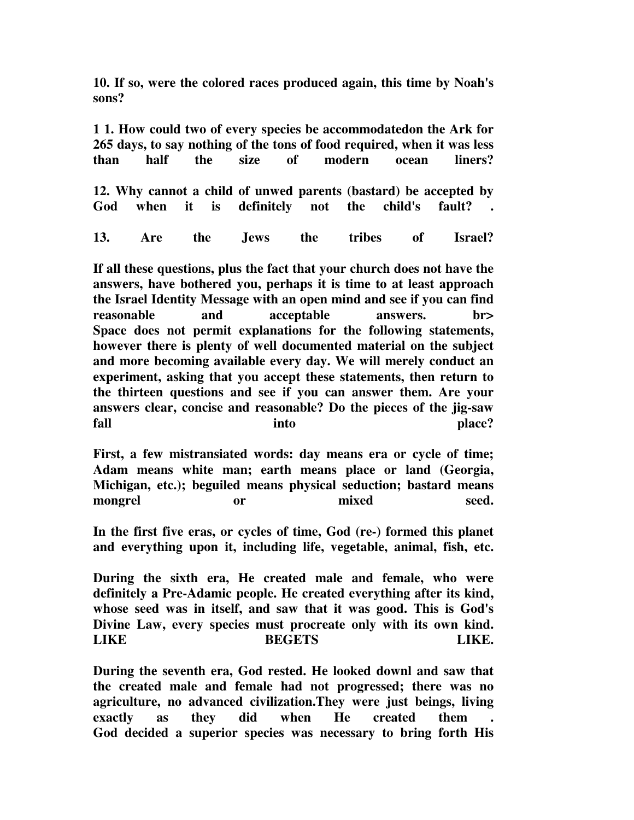**10. If so, were the colored races produced again, this time by Noah's sons?** 

**1 1. How could two of every species be accommodatedon the Ark for 265 days, to say nothing of the tons of food required, when it was less than half the size of modern ocean liners?** 

**12. Why cannot a child of unwed parents (bastard) be accepted by**  God when it is definitely not the child's fault?

**13. Are the Jews the tribes of Israel?** 

**If all these questions, plus the fact that your church does not have the answers, have bothered you, perhaps it is time to at least approach the Israel Identity Message with an open mind and see if you can find reasonable and acceptable answers. br> Space does not permit explanations for the following statements, however there is plenty of well documented material on the subject and more becoming available every day. We will merely conduct an experiment, asking that you accept these statements, then return to the thirteen questions and see if you can answer them. Are your answers clear, concise and reasonable? Do the pieces of the jig-saw fall into place?** 

**First, a few mistransiated words: day means era or cycle of time; Adam means white man; earth means place or land (Georgia, Michigan, etc.); beguiled means physical seduction; bastard means**  mongrel or mixed seed.

**In the first five eras, or cycles of time, God (re-) formed this planet and everything upon it, including life, vegetable, animal, fish, etc.** 

**During the sixth era, He created male and female, who were definitely a Pre-Adamic people. He created everything after its kind, whose seed was in itself, and saw that it was good. This is God's Divine Law, every species must procreate only with its own kind. LIKE BEGETS LIKE.** 

**During the seventh era, God rested. He looked downl and saw that the created male and female had not progressed; there was no agriculture, no advanced civilization.They were just beings, living exactly as they did when He created them . God decided a superior species was necessary to bring forth His**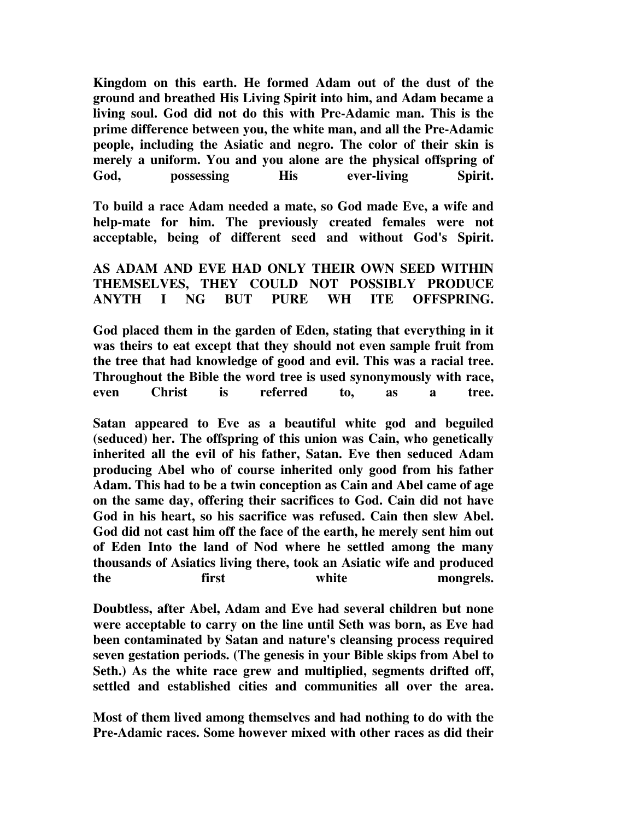**Kingdom on this earth. He formed Adam out of the dust of the ground and breathed His Living Spirit into him, and Adam became a living soul. God did not do this with Pre-Adamic man. This is the prime difference between you, the white man, and all the Pre-Adamic people, including the Asiatic and negro. The color of their skin is merely a uniform. You and you alone are the physical offspring of God, possessing His ever-living Spirit.** 

**To build a race Adam needed a mate, so God made Eve, a wife and help-mate for him. The previously created females were not acceptable, being of different seed and without God's Spirit.** 

#### **AS ADAM AND EVE HAD ONLY THEIR OWN SEED WITHIN THEMSELVES, THEY COULD NOT POSSIBLY PRODUCE ANYTH I NG BUT PURE WH ITE OFFSPRING.**

**God placed them in the garden of Eden, stating that everything in it was theirs to eat except that they should not even sample fruit from the tree that had knowledge of good and evil. This was a racial tree. Throughout the Bible the word tree is used synonymously with race, even Christ is referred to, as a tree.** 

**Satan appeared to Eve as a beautiful white god and beguiled (seduced) her. The offspring of this union was Cain, who genetically inherited all the evil of his father, Satan. Eve then seduced Adam producing Abel who of course inherited only good from his father Adam. This had to be a twin conception as Cain and Abel came of age on the same day, offering their sacrifices to God. Cain did not have God in his heart, so his sacrifice was refused. Cain then slew Abel. God did not cast him off the face of the earth, he merely sent him out of Eden Into the land of Nod where he settled among the many thousands of Asiatics living there, took an Asiatic wife and produced the first white mongrels.** 

**Doubtless, after Abel, Adam and Eve had several children but none were acceptable to carry on the line until Seth was born, as Eve had been contaminated by Satan and nature's cleansing process required seven gestation periods. (The genesis in your Bible skips from Abel to Seth.) As the white race grew and multiplied, segments drifted off, settled and established cities and communities all over the area.** 

**Most of them lived among themselves and had nothing to do with the Pre-Adamic races. Some however mixed with other races as did their**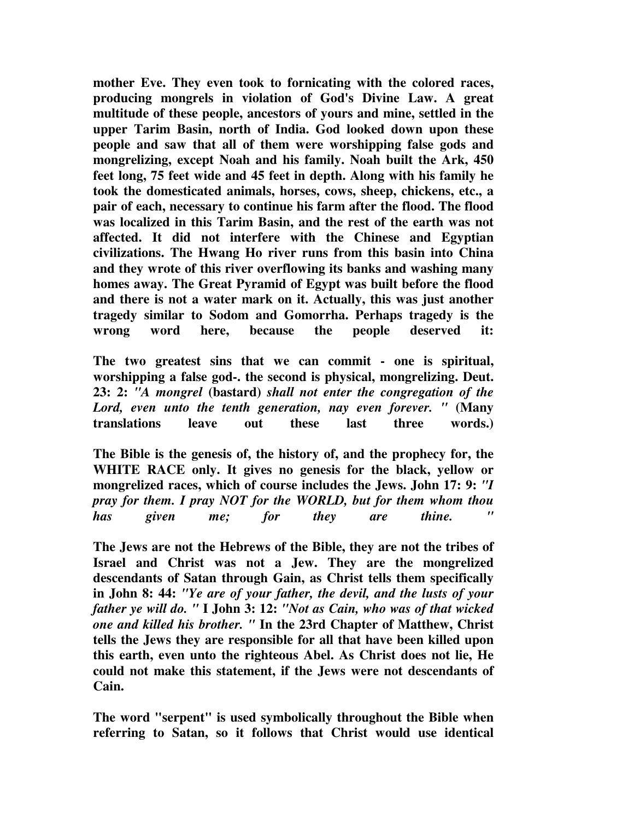**mother Eve. They even took to fornicating with the colored races, producing mongrels in violation of God's Divine Law. A great multitude of these people, ancestors of yours and mine, settled in the upper Tarim Basin, north of India. God looked down upon these people and saw that all of them were worshipping false gods and mongrelizing, except Noah and his family. Noah built the Ark, 450 feet long, 75 feet wide and 45 feet in depth. Along with his family he took the domesticated animals, horses, cows, sheep, chickens, etc., a pair of each, necessary to continue his farm after the flood. The flood was localized in this Tarim Basin, and the rest of the earth was not affected. It did not interfere with the Chinese and Egyptian civilizations. The Hwang Ho river runs from this basin into China and they wrote of this river overflowing its banks and washing many homes away. The Great Pyramid of Egypt was built before the flood and there is not a water mark on it. Actually, this was just another tragedy similar to Sodom and Gomorrha. Perhaps tragedy is the wrong word here, because the people deserved it:** 

**The two greatest sins that we can commit - one is spiritual, worshipping a false god-. the second is physical, mongrelizing. Deut. 23: 2:** *"A mongrel* **(bastard)** *shall not enter the congregation of the Lord, even unto the tenth generation, nay even forever. "* **(Many translations leave out these last three words.)** 

**The Bible is the genesis of, the history of, and the prophecy for, the WHITE RACE only. It gives no genesis for the black, yellow or mongrelized races, which of course includes the Jews. John 17: 9:** *"I pray for them. I pray NOT for the WORLD, but for them whom thou has given me; for they are thine. "*

**The Jews are not the Hebrews of the Bible, they are not the tribes of Israel and Christ was not a Jew. They are the mongrelized descendants of Satan through Gain, as Christ tells them specifically in John 8: 44:** *"Ye are of your father, the devil, and the lusts of your father ye will do. "* **I John 3: 12:** *"Not as Cain, who was of that wicked one and killed his brother. "* **In the 23rd Chapter of Matthew, Christ tells the Jews they are responsible for all that have been killed upon this earth, even unto the righteous Abel. As Christ does not lie, He could not make this statement, if the Jews were not descendants of Cain.** 

**The word "serpent" is used symbolically throughout the Bible when referring to Satan, so it follows that Christ would use identical**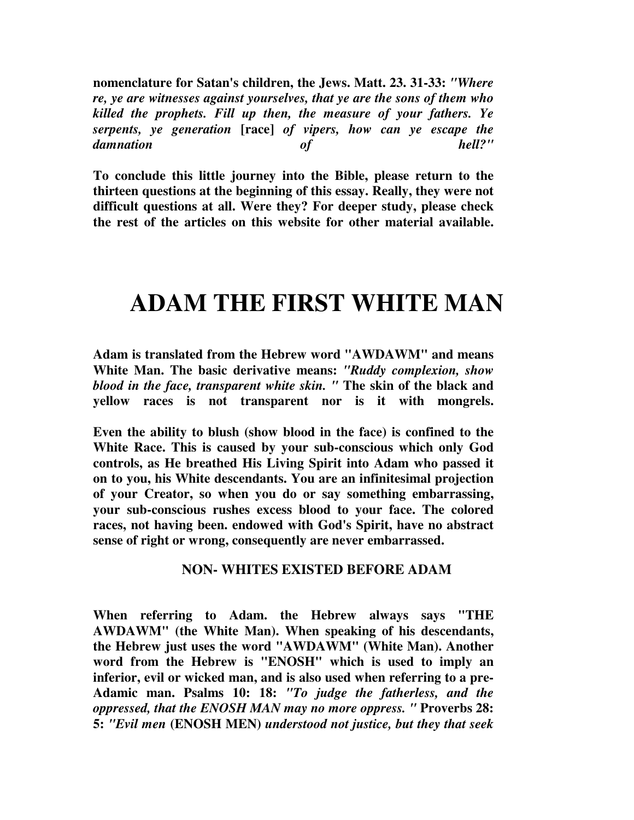**nomenclature for Satan's children, the Jews. Matt. 23. 31-33:** *"Where re, ye are witnesses against yourselves, that ye are the sons of them who killed the prophets. Fill up then, the measure of your fathers. Ye serpents, ye generation* **[race]** *of vipers, how can ye escape the damnation of hell?"*

**To conclude this little journey into the Bible, please return to the thirteen questions at the beginning of this essay. Really, they were not difficult questions at all. Were they? For deeper study, please check the rest of the articles on this website for other material available.** 

## **ADAM THE FIRST WHITE MAN**

**Adam is translated from the Hebrew word "AWDAWM" and means White Man. The basic derivative means:** *"Ruddy complexion, show blood in the face, transparent white skin. "* **The skin of the black and yellow races is not transparent nor is it with mongrels.** 

**Even the ability to blush (show blood in the face) is confined to the White Race. This is caused by your sub-conscious which only God controls, as He breathed His Living Spirit into Adam who passed it on to you, his White descendants. You are an infinitesimal projection of your Creator, so when you do or say something embarrassing, your sub-conscious rushes excess blood to your face. The colored races, not having been. endowed with God's Spirit, have no abstract sense of right or wrong, consequently are never embarrassed.** 

#### **NON- WHITES EXISTED BEFORE ADAM**

**When referring to Adam. the Hebrew always says "THE AWDAWM" (the White Man). When speaking of his descendants, the Hebrew just uses the word "AWDAWM" (White Man). Another word from the Hebrew is "ENOSH" which is used to imply an inferior, evil or wicked man, and is also used when referring to a pre-Adamic man. Psalms 10: 18:** *"To judge the fatherless, and the oppressed, that the ENOSH MAN may no more oppress. "* **Proverbs 28: 5:** *"Evil men* **(ENOSH MEN)** *understood not justice, but they that seek*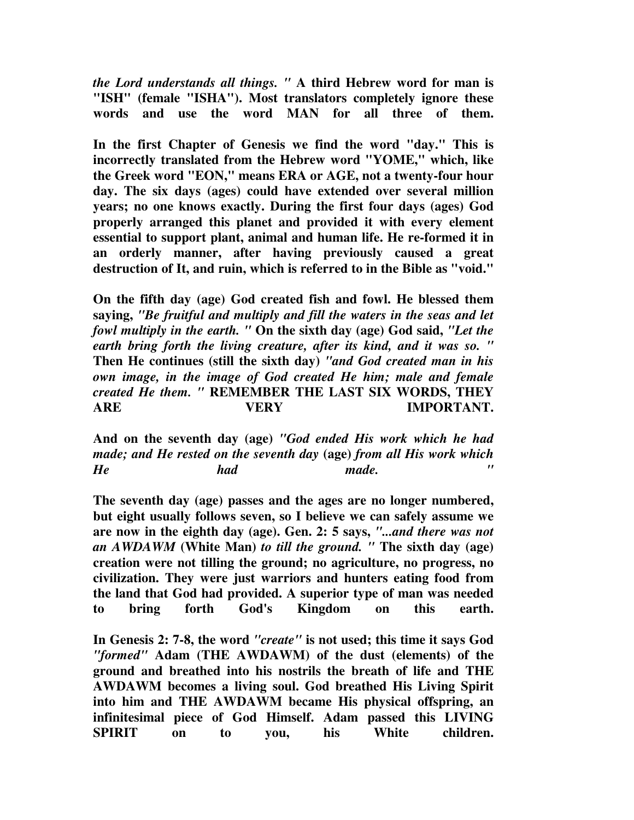*the Lord understands all things. "* **A third Hebrew word for man is "ISH" (female "ISHA"). Most translators completely ignore these words and use the word MAN for all three of them.** 

**In the first Chapter of Genesis we find the word "day." This is incorrectly translated from the Hebrew word "YOME," which, like the Greek word "EON," means ERA or AGE, not a twenty-four hour day. The six days (ages) could have extended over several million years; no one knows exactly. During the first four days (ages) God properly arranged this planet and provided it with every element essential to support plant, animal and human life. He re-formed it in an orderly manner, after having previously caused a great destruction of It, and ruin, which is referred to in the Bible as "void."** 

**On the fifth day (age) God created fish and fowl. He blessed them saying,** *"Be fruitful and multiply and fill the waters in the seas and let fowl multiply in the earth. "* **On the sixth day (age) God said,** *"Let the earth bring forth the living creature, after its kind, and it was so. "* **Then He continues (still the sixth day)** *"and God created man in his own image, in the image of God created He him; male and female created He them. "* **REMEMBER THE LAST SIX WORDS, THEY ARE VERY IMPORTANT.** 

**And on the seventh day (age)** *"God ended His work which he had made; and He rested on the seventh day* **(age)** *from all His work which He had made. "*

**The seventh day (age) passes and the ages are no longer numbered, but eight usually follows seven, so I believe we can safely assume we are now in the eighth day (age). Gen. 2: 5 says,** *"...and there was not an AWDAWM* **(White Man)** *to till the ground. "* **The sixth day (age) creation were not tilling the ground; no agriculture, no progress, no civilization. They were just warriors and hunters eating food from the land that God had provided. A superior type of man was needed to bring forth God's Kingdom on this earth.** 

**In Genesis 2: 7-8, the word** *"create"* **is not used; this time it says God** *"formed"* **Adam (THE AWDAWM) of the dust (elements) of the ground and breathed into his nostrils the breath of life and THE AWDAWM becomes a living soul. God breathed His Living Spirit into him and THE AWDAWM became His physical offspring, an infinitesimal piece of God Himself. Adam passed this LIVING SPIRIT on to you, his White children.**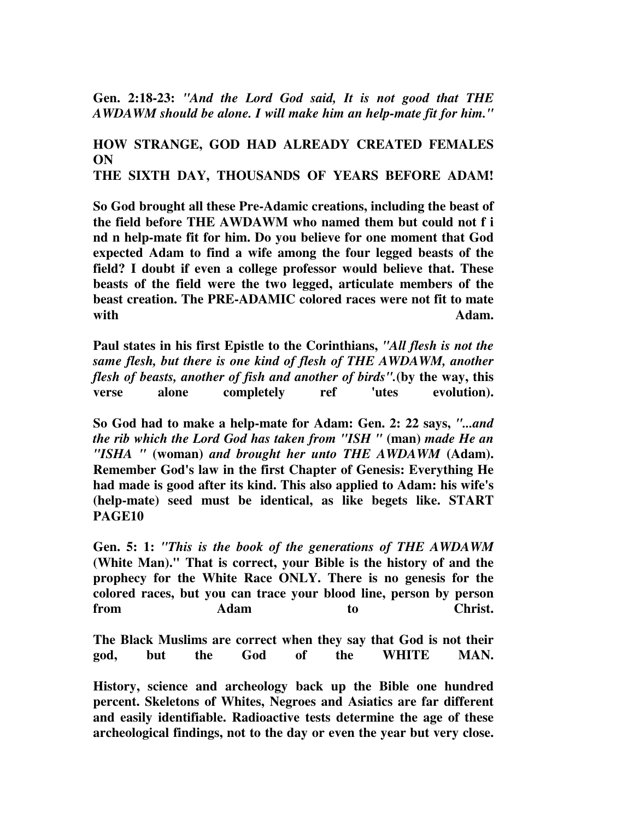**Gen. 2:18-23:** *"And the Lord God said, It is not good that THE AWDAWM should be alone. I will make him an help-mate fit for him."*

#### **HOW STRANGE, GOD HAD ALREADY CREATED FEMALES ON THE SIXTH DAY, THOUSANDS OF YEARS BEFORE ADAM!**

**So God brought all these Pre-Adamic creations, including the beast of the field before THE AWDAWM who named them but could not f i nd n help-mate fit for him. Do you believe for one moment that God expected Adam to find a wife among the four legged beasts of the field? I doubt if even a college professor would believe that. These beasts of the field were the two legged, articulate members of the beast creation. The PRE-ADAMIC colored races were not fit to mate with** Adam.

**Paul states in his first Epistle to the Corinthians,** *"All flesh is not the same flesh, but there is one kind of flesh of THE AWDAWM, another flesh of beasts, another of fish and another of birds".***(by the way, this verse alone completely ref 'utes evolution).** 

**So God had to make a help-mate for Adam: Gen. 2: 22 says,** *"...and the rib which the Lord God has taken from "ISH "* **(man)** *made He an "ISHA "* **(woman)** *and brought her unto THE AWDAWM* **(Adam). Remember God's law in the first Chapter of Genesis: Everything He had made is good after its kind. This also applied to Adam: his wife's (help-mate) seed must be identical, as like begets like. START PAGE10** 

**Gen. 5: 1:** *"This is the book of the generations of THE AWDAWM* **(White Man)." That is correct, your Bible is the history of and the prophecy for the White Race ONLY. There is no genesis for the colored races, but you can trace your blood line, person by person from** Adam to Christ.

**The Black Muslims are correct when they say that God is not their god, but the God of the WHITE MAN.** 

**History, science and archeology back up the Bible one hundred percent. Skeletons of Whites, Negroes and Asiatics are far different and easily identifiable. Radioactive tests determine the age of these archeological findings, not to the day or even the year but very close.**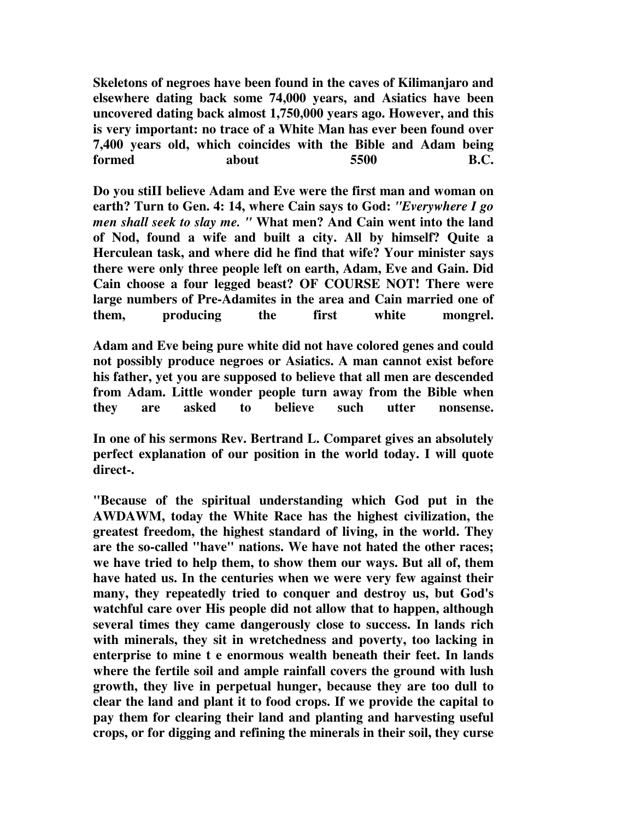**Skeletons of negroes have been found in the caves of Kilimanjaro and elsewhere dating back some 74,000 years, and Asiatics have been uncovered dating back almost 1,750,000 years ago. However, and this is very important: no trace of a White Man has ever been found over 7,400 years old, which coincides with the Bible and Adam being formed** about 5500 B.C.

**Do you stiII believe Adam and Eve were the first man and woman on earth? Turn to Gen. 4: 14, where Cain says to God:** *"Everywhere I go men shall seek to slay me. "* **What men? And Cain went into the land of Nod, found a wife and built a city. All by himself? Quite a Herculean task, and where did he find that wife? Your minister says there were only three people left on earth, Adam, Eve and Gain. Did Cain choose a four legged beast? OF COURSE NOT! There were large numbers of Pre-Adamites in the area and Cain married one of them, producing the first white mongrel.** 

**Adam and Eve being pure white did not have colored genes and could not possibly produce negroes or Asiatics. A man cannot exist before his father, yet you are supposed to believe that all men are descended from Adam. Little wonder people turn away from the Bible when they are asked to believe such utter nonsense.** 

**In one of his sermons Rev. Bertrand L. Comparet gives an absolutely perfect explanation of our position in the world today. I will quote direct-.** 

**"Because of the spiritual understanding which God put in the AWDAWM, today the White Race has the highest civilization, the greatest freedom, the highest standard of living, in the world. They are the so-called "have" nations. We have not hated the other races; we have tried to help them, to show them our ways. But all of, them have hated us. In the centuries when we were very few against their many, they repeatedly tried to conquer and destroy us, but God's watchful care over His people did not allow that to happen, although several times they came dangerously close to success. In lands rich with minerals, they sit in wretchedness and poverty, too lacking in enterprise to mine t e enormous wealth beneath their feet. In lands where the fertile soil and ample rainfall covers the ground with lush growth, they live in perpetual hunger, because they are too dull to clear the land and plant it to food crops. If we provide the capital to pay them for clearing their land and planting and harvesting useful crops, or for digging and refining the minerals in their soil, they curse**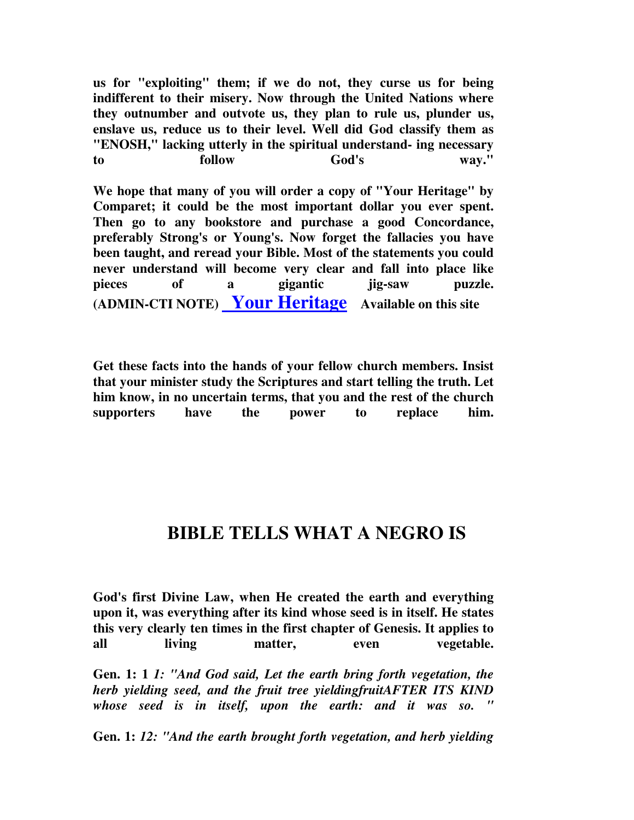**us for "exploiting" them; if we do not, they curse us for being indifferent to their misery. Now through the United Nations where they outnumber and outvote us, they plan to rule us, plunder us, enslave us, reduce us to their level. Well did God classify them as "ENOSH," lacking utterly in the spiritual understand- ing necessary to follow God's way."** 

**We hope that many of you will order a copy of "Your Heritage" by Comparet; it could be the most important dollar you ever spent. Then go to any bookstore and purchase a good Concordance, preferably Strong's or Young's. Now forget the fallacies you have been taught, and reread your Bible. Most of the statements you could never understand will become very clear and fall into place like pieces of a gigantic jig-saw puzzle. (ADMIN-CTI NOTE) Your Heritage Available on this site** 

**Get these facts into the hands of your fellow church members. Insist that your minister study the Scriptures and start telling the truth. Let him know, in no uncertain terms, that you and the rest of the church supporters have the power to replace him.** 

### **BIBLE TELLS WHAT A NEGRO IS**

**God's first Divine Law, when He created the earth and everything upon it, was everything after its kind whose seed is in itself. He states this very clearly ten times in the first chapter of Genesis. It applies to all living matter, even vegetable.** 

**Gen. 1: 1** *1: "And God said, Let the earth bring forth vegetation, the herb yielding seed, and the fruit tree yieldingfruitAFTER ITS KIND whose seed is in itself, upon the earth: and it was so. "*

**Gen. 1:** *12: "And the earth brought forth vegetation, and herb yielding*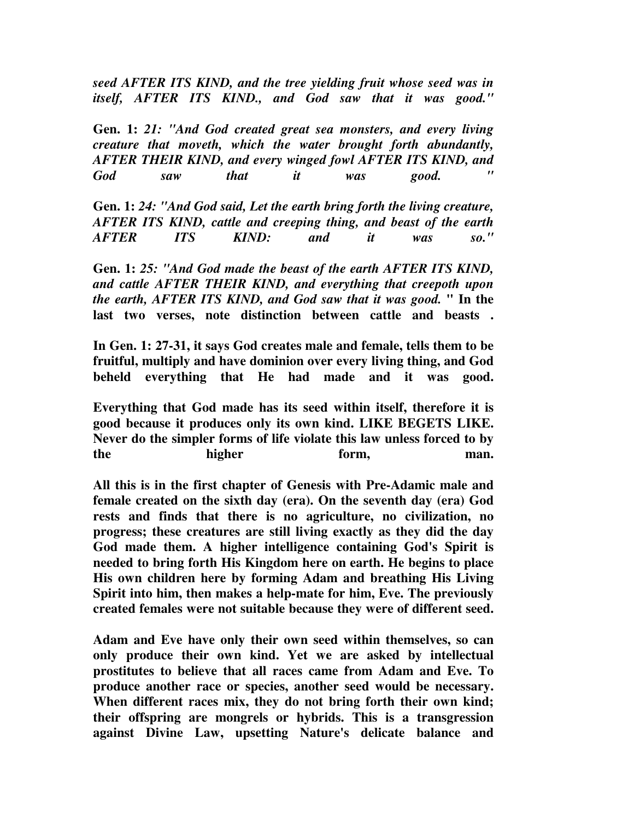*seed AFTER ITS KIND, and the tree yielding fruit whose seed was in itself, AFTER ITS KIND., and God saw that it was good."*

**Gen. 1:** *21: "And God created great sea monsters, and every living creature that moveth, which the water brought forth abundantly, AFTER THEIR KIND, and every winged fowl AFTER ITS KIND, and*  God saw that it was good. "

**Gen. 1:** *24: "And God said, Let the earth bring forth the living creature, AFTER ITS KIND, cattle and creeping thing, and beast of the earth AFTER ITS KIND: and it was so."*

**Gen. 1:** *25: "And God made the beast of the earth AFTER ITS KIND, and cattle AFTER THEIR KIND, and everything that creepoth upon the earth, AFTER ITS KIND, and God saw that it was good.* **" In the last two verses, note distinction between cattle and beasts .** 

**In Gen. 1: 27-31, it says God creates male and female, tells them to be fruitful, multiply and have dominion over every living thing, and God beheld everything that He had made and it was good.** 

**Everything that God made has its seed within itself, therefore it is good because it produces only its own kind. LIKE BEGETS LIKE. Never do the simpler forms of life violate this law unless forced to by the higher form, man.** 

**All this is in the first chapter of Genesis with Pre-Adamic male and female created on the sixth day (era). On the seventh day (era) God rests and finds that there is no agriculture, no civilization, no progress; these creatures are still living exactly as they did the day God made them. A higher intelligence containing God's Spirit is needed to bring forth His Kingdom here on earth. He begins to place His own children here by forming Adam and breathing His Living Spirit into him, then makes a help-mate for him, Eve. The previously created females were not suitable because they were of different seed.** 

**Adam and Eve have only their own seed within themselves, so can only produce their own kind. Yet we are asked by intellectual prostitutes to believe that all races came from Adam and Eve. To produce another race or species, another seed would be necessary. When different races mix, they do not bring forth their own kind; their offspring are mongrels or hybrids. This is a transgression against Divine Law, upsetting Nature's delicate balance and**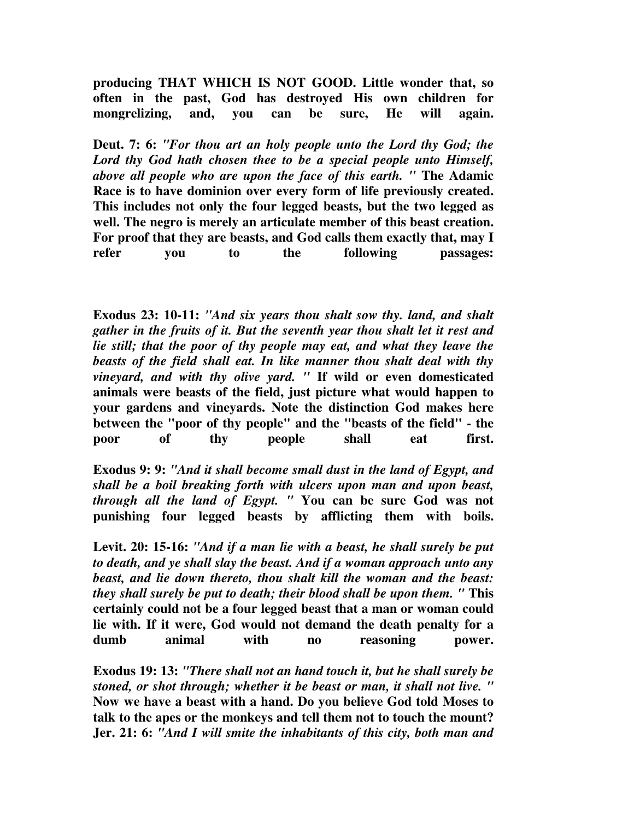**producing THAT WHICH IS NOT GOOD. Little wonder that, so often in the past, God has destroyed His own children for mongrelizing, and, you can be sure, He will again.** 

**Deut. 7: 6:** *"For thou art an holy people unto the Lord thy God; the Lord thy God hath chosen thee to be a special people unto Himself, above all people who are upon the face of this earth. "* **The Adamic Race is to have dominion over every form of life previously created. This includes not only the four legged beasts, but the two legged as well. The negro is merely an articulate member of this beast creation. For proof that they are beasts, and God calls them exactly that, may I refer you to the following passages:** 

**Exodus 23: 10-11:** *"And six years thou shalt sow thy. land, and shalt gather in the fruits of it. But the seventh year thou shalt let it rest and lie still; that the poor of thy people may eat, and what they leave the beasts of the field shall eat. In like manner thou shalt deal with thy vineyard, and with thy olive yard. "* **If wild or even domesticated animals were beasts of the field, just picture what would happen to your gardens and vineyards. Note the distinction God makes here between the "poor of thy people" and the "beasts of the field" - the poor of thy people shall eat first.** 

**Exodus 9: 9:** *"And it shall become small dust in the land of Egypt, and shall be a boil breaking forth with ulcers upon man and upon beast, through all the land of Egypt. "* **You can be sure God was not punishing four legged beasts by afflicting them with boils.** 

**Levit. 20: 15-16:** *"And if a man lie with a beast, he shall surely be put to death, and ye shall slay the beast. And if a woman approach unto any beast, and lie down thereto, thou shalt kill the woman and the beast: they shall surely be put to death; their blood shall be upon them. "* **This certainly could not be a four legged beast that a man or woman could lie with. If it were, God would not demand the death penalty for a dumb animal with no reasoning power.** 

**Exodus 19: 13:** *"There shall not an hand touch it, but he shall surely be stoned, or shot through; whether it be beast or man, it shall not live. "* **Now we have a beast with a hand. Do you believe God told Moses to talk to the apes or the monkeys and tell them not to touch the mount? Jer. 21: 6:** *"And I will smite the inhabitants of this city, both man and*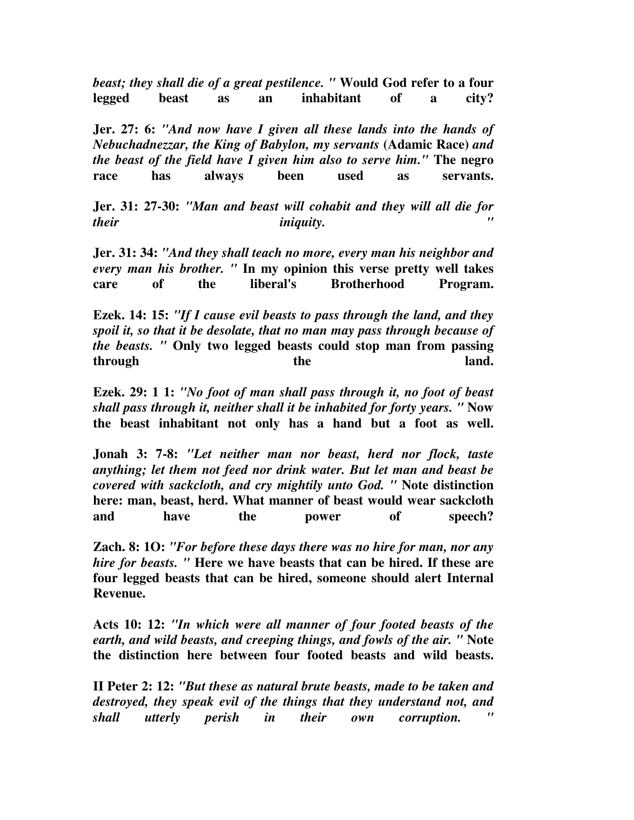*beast; they shall die of a great pestilence. "* **Would God refer to a four legged beast as an inhabitant of a city?** 

**Jer. 27: 6:** *"And now have I given all these lands into the hands of Nebuchadnezzar, the King of Babylon, my servants* **(Adamic Race)** *and the beast of the field have I given him also to serve him."* **The negro race has always been used as servants.** 

**Jer. 31: 27-30:** *"Man and beast will cohabit and they will all die for their iniquity.* 

**Jer. 31: 34:** *"And they shall teach no more, every man his neighbor and every man his brother. "* **In my opinion this verse pretty well takes care of the liberal's Brotherhood Program.** 

**Ezek. 14: 15:** *"If I cause evil beasts to pass through the land, and they spoil it, so that it be desolate, that no man may pass through because of the beasts. "* **Only two legged beasts could stop man from passing through the land.** The land of the land  $\mathbf{c}$ 

**Ezek. 29: 1 1:** *"No foot of man shall pass through it, no foot of beast shall pass through it, neither shall it be inhabited for forty years. "* **Now the beast inhabitant not only has a hand but a foot as well.** 

**Jonah 3: 7-8:** *"Let neither man nor beast, herd nor flock, taste anything; let them not feed nor drink water. But let man and beast be covered with sackcloth, and cry mightily unto God. "* **Note distinction here: man, beast, herd. What manner of beast would wear sackcloth and have the power of speech?** 

**Zach. 8: 1O:** *"For before these days there was no hire for man, nor any hire for beasts. "* **Here we have beasts that can be hired. If these are four legged beasts that can be hired, someone should alert Internal Revenue.** 

**Acts 10: 12:** *"In which were all manner of four footed beasts of the earth, and wild beasts, and creeping things, and fowls of the air. "* **Note the distinction here between four footed beasts and wild beasts.** 

**II Peter 2: 12:** *"But these as natural brute beasts, made to be taken and destroyed, they speak evil of the things that they understand not, and shall* utterly perish in their own corruption.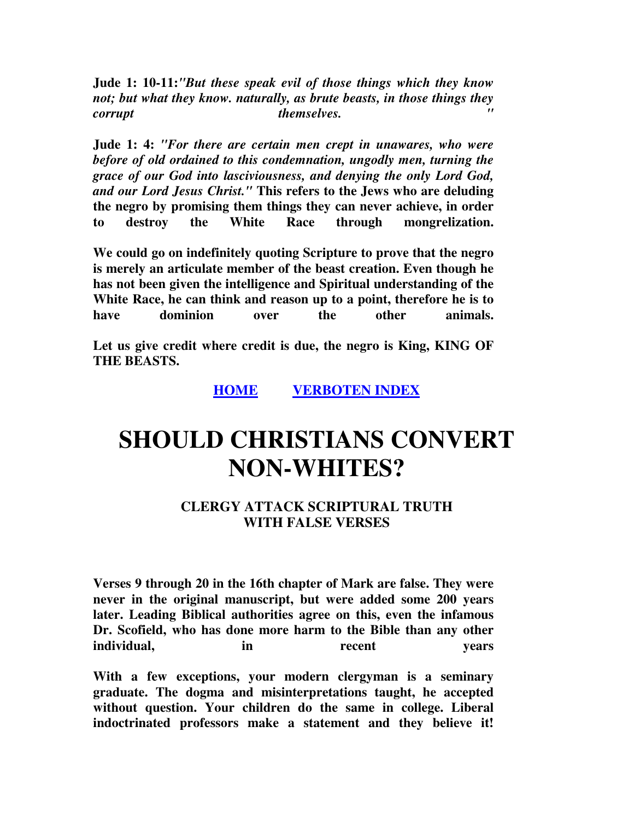**Jude 1: 10-11:***"But these speak evil of those things which they know not; but what they know. naturally, as brute beasts, in those things they corrupt* themselves.

**Jude 1: 4:** *"For there are certain men crept in unawares, who were before of old ordained to this condemnation, ungodly men, turning the grace of our God into lasciviousness, and denying the only Lord God, and our Lord Jesus Christ."* **This refers to the Jews who are deluding the negro by promising them things they can never achieve, in order to destroy the White Race through mongrelization.** 

**We could go on indefinitely quoting Scripture to prove that the negro is merely an articulate member of the beast creation. Even though he has not been given the intelligence and Spiritual understanding of the White Race, he can think and reason up to a point, therefore he is to have dominion over the other animals.** 

**Let us give credit where credit is due, the negro is King, KING OF THE BEASTS.** 

#### **HOME VERBOTEN INDEX**

# **SHOULD CHRISTIANS CONVERT NON-WHITES?**

#### **CLERGY ATTACK SCRIPTURAL TRUTH WITH FALSE VERSES**

**Verses 9 through 20 in the 16th chapter of Mark are false. They were never in the original manuscript, but were added some 200 years later. Leading Biblical authorities agree on this, even the infamous Dr. Scofield, who has done more harm to the Bible than any other individual,** in the recent vears

**With a few exceptions, your modern clergyman is a seminary graduate. The dogma and misinterpretations taught, he accepted without question. Your children do the same in college. Liberal indoctrinated professors make a statement and they believe it!**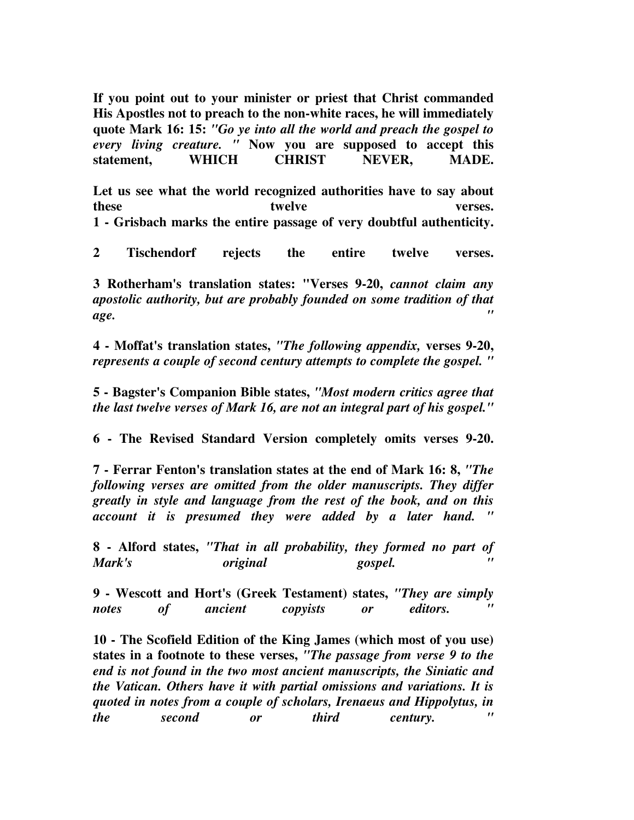**If you point out to your minister or priest that Christ commanded His Apostles not to preach to the non-white races, he will immediately quote Mark 16: 15:** *"Go ye into all the world and preach the gospel to every living creature. "* **Now you are supposed to accept this statement, WHICH CHRIST NEVER, MADE.** 

**Let us see what the world recognized authorities have to say about these** twelve verses. **1 - Grisbach marks the entire passage of very doubtful authenticity.** 

**2 Tischendorf rejects the entire twelve verses.** 

**3 Rotherham's translation states: "Verses 9-20,** *cannot claim any apostolic authority, but are probably founded on some tradition of that age. "*

**4 - Moffat's translation states,** *"The following appendix,* **verses 9-20,** *represents a couple of second century attempts to complete the gospel. "*

**5 - Bagster's Companion Bible states,** *"Most modern critics agree that the last twelve verses of Mark 16, are not an integral part of his gospel."*

**6 - The Revised Standard Version completely omits verses 9-20.** 

**7 - Ferrar Fenton's translation states at the end of Mark 16: 8,** *"The following verses are omitted from the older manuscripts. They differ greatly in style and language from the rest of the book, and on this account it is presumed they were added by a later hand. "*

**8 - Alford states,** *"That in all probability, they formed no part of Mark's original gospel.* 

**9 - Wescott and Hort's (Greek Testament) states,** *"They are simply notes of* ancient copyists or editors.

**10 - The Scofield Edition of the King James (which most of you use) states in a footnote to these verses,** *"The passage from verse 9 to the end is not found in the two most ancient manuscripts, the Siniatic and the Vatican. Others have it with partial omissions and variations. It is quoted in notes from a couple of scholars, Irenaeus and Hippolytus, in the* second or third century.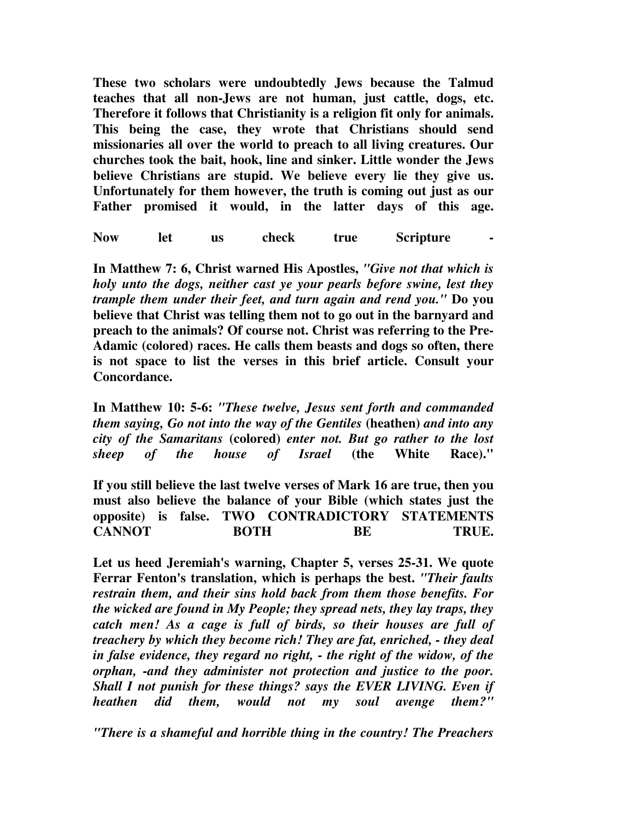**These two scholars were undoubtedly Jews because the Talmud teaches that all non-Jews are not human, just cattle, dogs, etc. Therefore it follows that Christianity is a religion fit only for animals. This being the case, they wrote that Christians should send missionaries all over the world to preach to all living creatures. Our churches took the bait, hook, line and sinker. Little wonder the Jews believe Christians are stupid. We believe every lie they give us. Unfortunately for them however, the truth is coming out just as our Father promised it would, in the latter days of this age.** 

Now let us check true Scripture

**In Matthew 7: 6, Christ warned His Apostles,** *"Give not that which is holy unto the dogs, neither cast ye your pearls before swine, lest they trample them under their feet, and turn again and rend you."* **Do you believe that Christ was telling them not to go out in the barnyard and preach to the animals? Of course not. Christ was referring to the Pre-Adamic (colored) races. He calls them beasts and dogs so often, there is not space to list the verses in this brief article. Consult your Concordance.** 

**In Matthew 10: 5-6:** *"These twelve, Jesus sent forth and commanded them saying, Go not into the way of the Gentiles* **(heathen)** *and into any city of the Samaritans* **(colored)** *enter not. But go rather to the lost sheep of the house of Israel* **(the White Race)."** 

**If you still believe the last twelve verses of Mark 16 are true, then you must also believe the balance of your Bible (which states just the opposite) is false. TWO CONTRADICTORY STATEMENTS CANNOT BOTH BE TRUE.** 

**Let us heed Jeremiah's warning, Chapter 5, verses 25-31. We quote Ferrar Fenton's translation, which is perhaps the best.** *"Their faults restrain them, and their sins hold back from them those benefits. For the wicked are found in My People; they spread nets, they lay traps, they catch men! As a cage is full of birds, so their houses are full of treachery by which they become rich! They are fat, enriched, - they deal in false evidence, they regard no right, - the right of the widow, of the orphan, -and they administer not protection and justice to the poor. Shall I not punish for these things? says the EVER LIVING. Even if heathen did them, would not my soul avenge them?"*

*"There is a shameful and horrible thing in the country! The Preachers*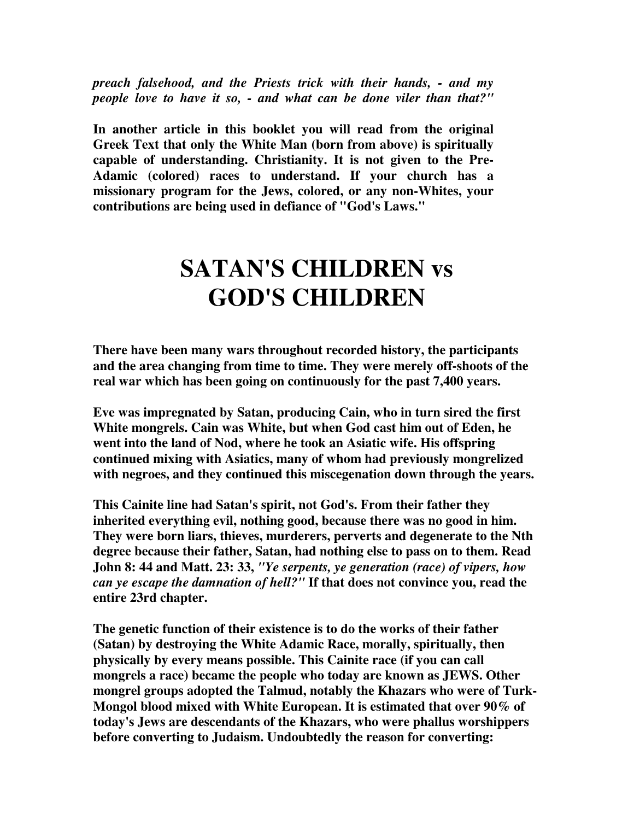*preach falsehood, and the Priests trick with their hands, - and my people love to have it so, - and what can be done viler than that?"*

**In another article in this booklet you will read from the original Greek Text that only the White Man (born from above) is spiritually capable of understanding. Christianity. It is not given to the Pre-Adamic (colored) races to understand. If your church has a missionary program for the Jews, colored, or any non-Whites, your contributions are being used in defiance of "God's Laws."** 

# **SATAN'S CHILDREN vs GOD'S CHILDREN**

**There have been many wars throughout recorded history, the participants and the area changing from time to time. They were merely off-shoots of the real war which has been going on continuously for the past 7,400 years.** 

**Eve was impregnated by Satan, producing Cain, who in turn sired the first White mongrels. Cain was White, but when God cast him out of Eden, he went into the land of Nod, where he took an Asiatic wife. His offspring continued mixing with Asiatics, many of whom had previously mongrelized with negroes, and they continued this miscegenation down through the years.** 

**This Cainite line had Satan's spirit, not God's. From their father they inherited everything evil, nothing good, because there was no good in him. They were born liars, thieves, murderers, perverts and degenerate to the Nth degree because their father, Satan, had nothing else to pass on to them. Read John 8: 44 and Matt. 23: 33,** *"Ye serpents, ye generation (race) of vipers, how can ye escape the damnation of hell?"* **If that does not convince you, read the entire 23rd chapter.** 

**The genetic function of their existence is to do the works of their father (Satan) by destroying the White Adamic Race, morally, spiritually, then physically by every means possible. This Cainite race (if you can call mongrels a race) became the people who today are known as JEWS. Other mongrel groups adopted the Talmud, notably the Khazars who were of Turk-Mongol blood mixed with White European. It is estimated that over 90% of today's Jews are descendants of the Khazars, who were phallus worshippers before converting to Judaism. Undoubtedly the reason for converting:**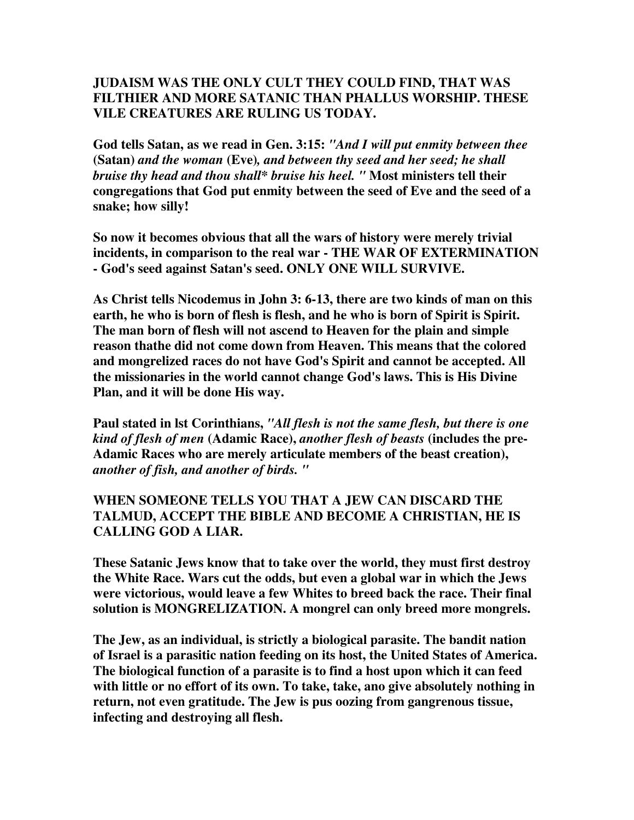#### **JUDAISM WAS THE ONLY CULT THEY COULD FIND, THAT WAS FILTHIER AND MORE SATANIC THAN PHALLUS WORSHIP. THESE VILE CREATURES ARE RULING US TODAY.**

**God tells Satan, as we read in Gen. 3:15:** *"And I will put enmity between thee* **(Satan)** *and the woman* **(Eve)***, and between thy seed and her seed; he shall bruise thy head and thou shall\* bruise his heel. "* **Most ministers tell their congregations that God put enmity between the seed of Eve and the seed of a snake; how silly!** 

**So now it becomes obvious that all the wars of history were merely trivial incidents, in comparison to the real war - THE WAR OF EXTERMINATION - God's seed against Satan's seed. ONLY ONE WILL SURVIVE.** 

**As Christ tells Nicodemus in John 3: 6-13, there are two kinds of man on this earth, he who is born of flesh is flesh, and he who is born of Spirit is Spirit. The man born of flesh will not ascend to Heaven for the plain and simple reason thathe did not come down from Heaven. This means that the colored and mongrelized races do not have God's Spirit and cannot be accepted. All the missionaries in the world cannot change God's laws. This is His Divine Plan, and it will be done His way.** 

**Paul stated in lst Corinthians,** *"All flesh is not the same flesh, but there is one kind of flesh of men* **(Adamic Race),** *another flesh of beasts* **(includes the pre-Adamic Races who are merely articulate members of the beast creation),** *another of fish, and another of birds. "*

#### **WHEN SOMEONE TELLS YOU THAT A JEW CAN DISCARD THE TALMUD, ACCEPT THE BIBLE AND BECOME A CHRISTIAN, HE IS CALLING GOD A LIAR.**

**These Satanic Jews know that to take over the world, they must first destroy the White Race. Wars cut the odds, but even a global war in which the Jews were victorious, would leave a few Whites to breed back the race. Their final solution is MONGRELIZATION. A mongrel can only breed more mongrels.** 

**The Jew, as an individual, is strictly a biological parasite. The bandit nation of Israel is a parasitic nation feeding on its host, the United States of America. The biological function of a parasite is to find a host upon which it can feed with little or no effort of its own. To take, take, ano give absolutely nothing in return, not even gratitude. The Jew is pus oozing from gangrenous tissue, infecting and destroying all flesh.**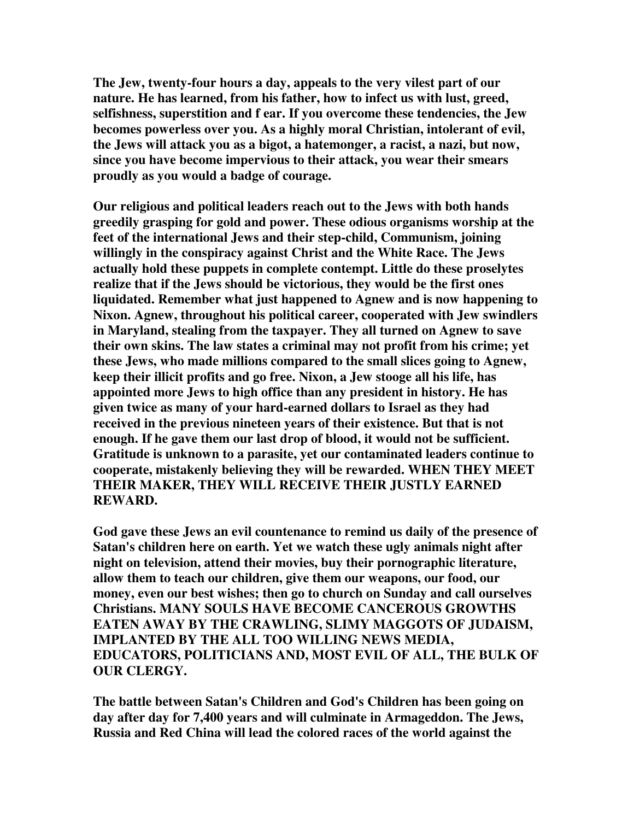**The Jew, twenty-four hours a day, appeals to the very vilest part of our nature. He has learned, from his father, how to infect us with lust, greed, selfishness, superstition and f ear. If you overcome these tendencies, the Jew becomes powerless over you. As a highly moral Christian, intolerant of evil, the Jews will attack you as a bigot, a hatemonger, a racist, a nazi, but now, since you have become impervious to their attack, you wear their smears proudly as you would a badge of courage.** 

**Our religious and political leaders reach out to the Jews with both hands greedily grasping for gold and power. These odious organisms worship at the feet of the international Jews and their step-child, Communism, joining willingly in the conspiracy against Christ and the White Race. The Jews actually hold these puppets in complete contempt. Little do these proselytes realize that if the Jews should be victorious, they would be the first ones liquidated. Remember what just happened to Agnew and is now happening to Nixon. Agnew, throughout his political career, cooperated with Jew swindlers in Maryland, stealing from the taxpayer. They all turned on Agnew to save their own skins. The law states a criminal may not profit from his crime; yet these Jews, who made millions compared to the small slices going to Agnew, keep their illicit profits and go free. Nixon, a Jew stooge all his life, has appointed more Jews to high office than any president in history. He has given twice as many of your hard-earned dollars to Israel as they had received in the previous nineteen years of their existence. But that is not enough. If he gave them our last drop of blood, it would not be sufficient. Gratitude is unknown to a parasite, yet our contaminated leaders continue to cooperate, mistakenly believing they will be rewarded. WHEN THEY MEET THEIR MAKER, THEY WILL RECEIVE THEIR JUSTLY EARNED REWARD.** 

**God gave these Jews an evil countenance to remind us daily of the presence of Satan's children here on earth. Yet we watch these ugly animals night after night on television, attend their movies, buy their pornographic literature, allow them to teach our children, give them our weapons, our food, our money, even our best wishes; then go to church on Sunday and call ourselves Christians. MANY SOULS HAVE BECOME CANCEROUS GROWTHS EATEN AWAY BY THE CRAWLING, SLIMY MAGGOTS OF JUDAISM, IMPLANTED BY THE ALL TOO WILLING NEWS MEDIA, EDUCATORS, POLITICIANS AND, MOST EVIL OF ALL, THE BULK OF OUR CLERGY.** 

**The battle between Satan's Children and God's Children has been going on day after day for 7,400 years and will culminate in Armageddon. The Jews, Russia and Red China will lead the colored races of the world against the**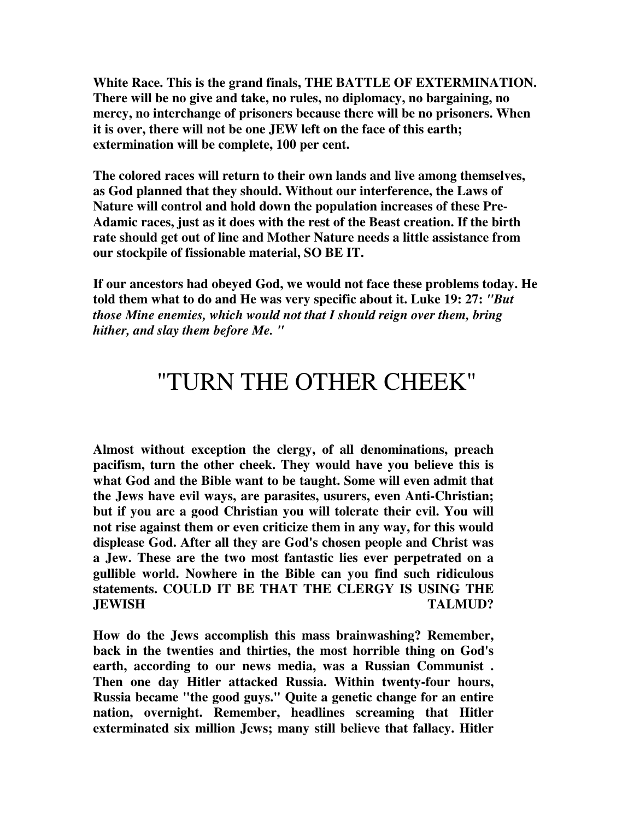**White Race. This is the grand finals, THE BATTLE OF EXTERMINATION. There will be no give and take, no rules, no diplomacy, no bargaining, no mercy, no interchange of prisoners because there will be no prisoners. When it is over, there will not be one JEW left on the face of this earth; extermination will be complete, 100 per cent.** 

**The colored races will return to their own lands and live among themselves, as God planned that they should. Without our interference, the Laws of Nature will control and hold down the population increases of these Pre-Adamic races, just as it does with the rest of the Beast creation. If the birth rate should get out of line and Mother Nature needs a little assistance from our stockpile of fissionable material, SO BE IT.** 

**If our ancestors had obeyed God, we would not face these problems today. He told them what to do and He was very specific about it. Luke 19: 27:** *"But those Mine enemies, which would not that I should reign over them, bring hither, and slay them before Me. "*

### "TURN THE OTHER CHEEK"

**Almost without exception the clergy, of all denominations, preach pacifism, turn the other cheek. They would have you believe this is what God and the Bible want to be taught. Some will even admit that the Jews have evil ways, are parasites, usurers, even Anti-Christian; but if you are a good Christian you will tolerate their evil. You will not rise against them or even criticize them in any way, for this would displease God. After all they are God's chosen people and Christ was a Jew. These are the two most fantastic lies ever perpetrated on a gullible world. Nowhere in the Bible can you find such ridiculous statements. COULD IT BE THAT THE CLERGY IS USING THE JEWISH TALMUD?** 

**How do the Jews accomplish this mass brainwashing? Remember, back in the twenties and thirties, the most horrible thing on God's earth, according to our news media, was a Russian Communist . Then one day Hitler attacked Russia. Within twenty-four hours, Russia became "the good guys." Quite a genetic change for an entire nation, overnight. Remember, headlines screaming that Hitler exterminated six million Jews; many still believe that fallacy. Hitler**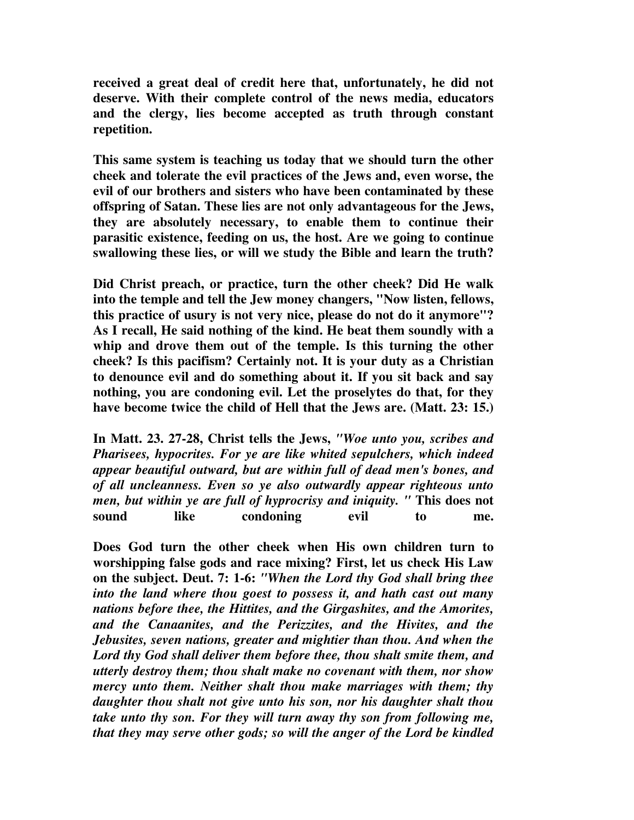**received a great deal of credit here that, unfortunately, he did not deserve. With their complete control of the news media, educators and the clergy, lies become accepted as truth through constant repetition.** 

**This same system is teaching us today that we should turn the other cheek and tolerate the evil practices of the Jews and, even worse, the evil of our brothers and sisters who have been contaminated by these offspring of Satan. These lies are not only advantageous for the Jews, they are absolutely necessary, to enable them to continue their parasitic existence, feeding on us, the host. Are we going to continue swallowing these lies, or will we study the Bible and learn the truth?** 

**Did Christ preach, or practice, turn the other cheek? Did He walk into the temple and tell the Jew money changers, "Now listen, fellows, this practice of usury is not very nice, please do not do it anymore"? As I recall, He said nothing of the kind. He beat them soundly with a whip and drove them out of the temple. Is this turning the other cheek? Is this pacifism? Certainly not. It is your duty as a Christian to denounce evil and do something about it. If you sit back and say nothing, you are condoning evil. Let the proselytes do that, for they have become twice the child of Hell that the Jews are. (Matt. 23: 15.)** 

**In Matt. 23. 27-28, Christ tells the Jews,** *"Woe unto you, scribes and Pharisees, hypocrites. For ye are like whited sepulchers, which indeed appear beautiful outward, but are within full of dead men's bones, and of all uncleanness. Even so ye also outwardly appear righteous unto men, but within ye are full of hyprocrisy and iniquity. "* **This does not sound like condoning evil to me.** 

**Does God turn the other cheek when His own children turn to worshipping false gods and race mixing? First, let us check His Law on the subject. Deut. 7: 1-6:** *"When the Lord thy God shall bring thee into the land where thou goest to possess it, and hath cast out many nations before thee, the Hittites, and the Girgashites, and the Amorites, and the Canaanites, and the Perizzites, and the Hivites, and the Jebusites, seven nations, greater and mightier than thou. And when the Lord thy God shall deliver them before thee, thou shalt smite them, and utterly destroy them; thou shalt make no covenant with them, nor show mercy unto them. Neither shalt thou make marriages with them; thy daughter thou shalt not give unto his son, nor his daughter shalt thou take unto thy son. For they will turn away thy son from following me, that they may serve other gods; so will the anger of the Lord be kindled*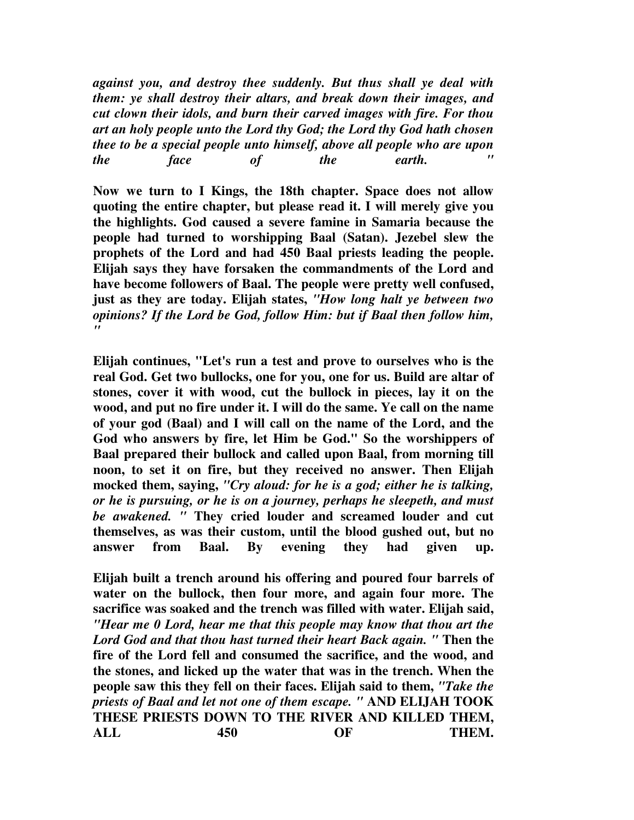*against you, and destroy thee suddenly. But thus shall ye deal with them: ye shall destroy their altars, and break down their images, and cut clown their idols, and burn their carved images with fire. For thou art an holy people unto the Lord thy God; the Lord thy God hath chosen thee to be a special people unto himself, above all people who are upon the face of the earth.* "

**Now we turn to I Kings, the 18th chapter. Space does not allow quoting the entire chapter, but please read it. I will merely give you the highlights. God caused a severe famine in Samaria because the people had turned to worshipping Baal (Satan). Jezebel slew the prophets of the Lord and had 450 Baal priests leading the people. Elijah says they have forsaken the commandments of the Lord and have become followers of Baal. The people were pretty well confused, just as they are today. Elijah states,** *"How long halt ye between two opinions? If the Lord be God, follow Him: but if Baal then follow him, "*

**Elijah continues, "Let's run a test and prove to ourselves who is the real God. Get two bullocks, one for you, one for us. Build are altar of stones, cover it with wood, cut the bullock in pieces, lay it on the wood, and put no fire under it. I will do the same. Ye call on the name of your god (Baal) and I will call on the name of the Lord, and the God who answers by fire, let Him be God." So the worshippers of Baal prepared their bullock and called upon Baal, from morning till noon, to set it on fire, but they received no answer. Then Elijah mocked them, saying,** *"Cry aloud: for he is a god; either he is talking, or he is pursuing, or he is on a journey, perhaps he sleepeth, and must be awakened. "* **They cried louder and screamed louder and cut themselves, as was their custom, until the blood gushed out, but no answer from Baal. By evening they had given up.** 

**Elijah built a trench around his offering and poured four barrels of water on the bullock, then four more, and again four more. The sacrifice was soaked and the trench was filled with water. Elijah said,** *"Hear me 0 Lord, hear me that this people may know that thou art the Lord God and that thou hast turned their heart Back again. "* **Then the fire of the Lord fell and consumed the sacrifice, and the wood, and the stones, and licked up the water that was in the trench. When the people saw this they fell on their faces. Elijah said to them,** *"Take the priests of Baal and let not one of them escape. "* **AND ELIJAH TOOK THESE PRIESTS DOWN TO THE RIVER AND KILLED THEM,**  ALL 450 OF THEM.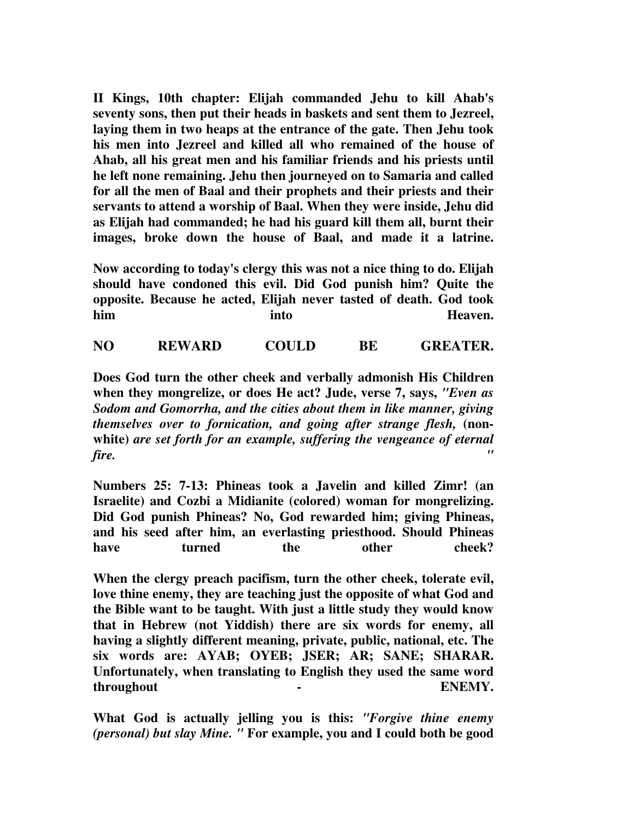**II Kings, 10th chapter: Elijah commanded Jehu to kill Ahab's seventy sons, then put their heads in baskets and sent them to Jezreel, laying them in two heaps at the entrance of the gate. Then Jehu took his men into Jezreel and killed all who remained of the house of Ahab, all his great men and his familiar friends and his priests until he left none remaining. Jehu then journeyed on to Samaria and called for all the men of Baal and their prophets and their priests and their servants to attend a worship of Baal. When they were inside, Jehu did as Elijah had commanded; he had his guard kill them all, burnt their images, broke down the house of Baal, and made it a latrine.** 

**Now according to today's clergy this was not a nice thing to do. Elijah should have condoned this evil. Did God punish him? Quite the opposite. Because he acted, Elijah never tasted of death. God took him** into into Heaven.

**NO REWARD COULD BE GREATER.** 

**Does God turn the other cheek and verbally admonish His Children when they mongrelize, or does He act? Jude, verse 7, says,** *"Even as Sodom and Gomorrha, and the cities about them in like manner, giving themselves over to fornication, and going after strange flesh,* **(nonwhite)** *are set forth for an example, suffering the vengeance of eternal fire. "*

**Numbers 25: 7-13: Phineas took a Javelin and killed Zimr! (an Israelite) and Cozbi a Midianite (colored) woman for mongrelizing. Did God punish Phineas? No, God rewarded him; giving Phineas, and his seed after him, an everlasting priesthood. Should Phineas**  have turned the other cheek?

**When the clergy preach pacifism, turn the other cheek, tolerate evil, love thine enemy, they are teaching just the opposite of what God and the Bible want to be taught. With just a little study they would know that in Hebrew (not Yiddish) there are six words for enemy, all having a slightly different meaning, private, public, national, etc. The six words are: AYAB; OYEB; JSER; AR; SANE; SHARAR. Unfortunately, when translating to English they used the same word throughout** *contract in the extent of the extent of the ENEMY.* 

**What God is actually jelling you is this:** *"Forgive thine enemy (personal) but slay Mine. "* **For example, you and I could both be good**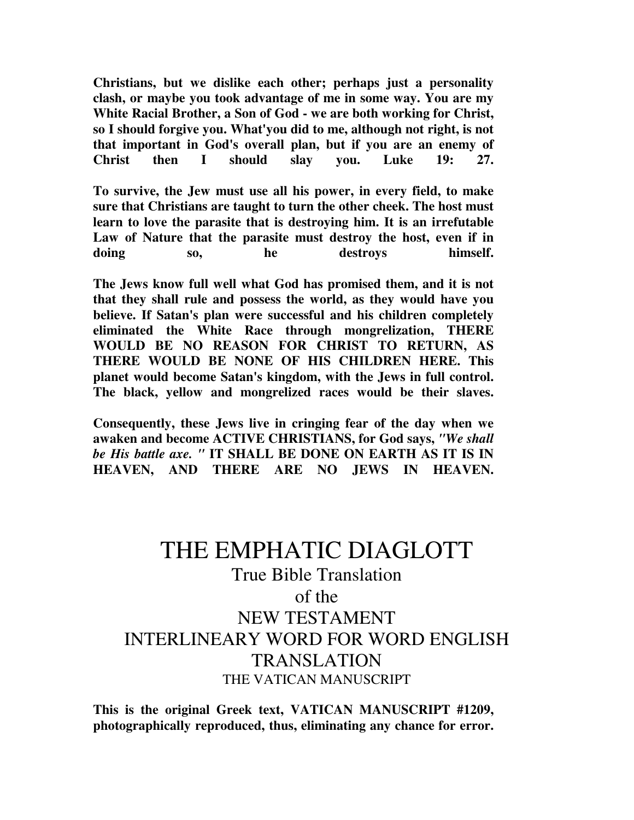**Christians, but we dislike each other; perhaps just a personality clash, or maybe you took advantage of me in some way. You are my White Racial Brother, a Son of God - we are both working for Christ, so I should forgive you. What'you did to me, although not right, is not that important in God's overall plan, but if you are an enemy of Christ then I should slay you. Luke 19: 27.** 

**To survive, the Jew must use all his power, in every field, to make sure that Christians are taught to turn the other cheek. The host must learn to love the parasite that is destroying him. It is an irrefutable Law of Nature that the parasite must destroy the host, even if in**  doing so, he destroys himself.

**The Jews know full well what God has promised them, and it is not that they shall rule and possess the world, as they would have you believe. If Satan's plan were successful and his children completely eliminated the White Race through mongrelization, THERE WOULD BE NO REASON FOR CHRIST TO RETURN, AS THERE WOULD BE NONE OF HIS CHILDREN HERE. This planet would become Satan's kingdom, with the Jews in full control. The black, yellow and mongrelized races would be their slaves.** 

**Consequently, these Jews live in cringing fear of the day when we awaken and become ACTIVE CHRISTIANS, for God says,** *"We shall be His battle axe. "* **IT SHALL BE DONE ON EARTH AS IT IS IN HEAVEN, AND THERE ARE NO JEWS IN HEAVEN.** 

# THE EMPHATIC DIAGLOTT

### True Bible Translation of the NEW TESTAMENT INTERLINEARY WORD FOR WORD ENGLISH TRANSLATION THE VATICAN MANUSCRIPT

**This is the original Greek text, VATICAN MANUSCRIPT #1209, photographically reproduced, thus, eliminating any chance for error.**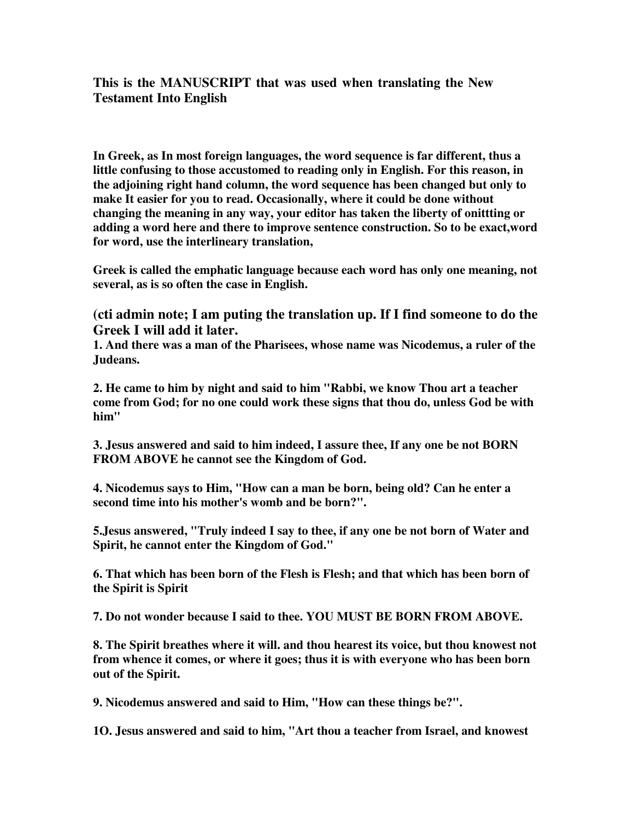**This is the MANUSCRIPT that was used when translating the New Testament Into English** 

**In Greek, as In most foreign languages, the word sequence is far different, thus a little confusing to those accustomed to reading only in English. For this reason, in the adjoining right hand column, the word sequence has been changed but only to make It easier for you to read. Occasionally, where it could be done without changing the meaning in any way, your editor has taken the liberty of onittting or adding a word here and there to improve sentence construction. So to be exact,word for word, use the interlineary translation,** 

**Greek is called the emphatic language because each word has only one meaning, not several, as is so often the case in English.** 

**(cti admin note; I am puting the translation up. If I find someone to do the Greek I will add it later.** 

**1. And there was a man of the Pharisees, whose name was Nicodemus, a ruler of the Judeans.** 

**2. He came to him by night and said to him "Rabbi, we know Thou art a teacher come from God; for no one could work these signs that thou do, unless God be with him"** 

**3. Jesus answered and said to him indeed, I assure thee, If any one be not BORN FROM ABOVE he cannot see the Kingdom of God.** 

**4. Nicodemus says to Him, "How can a man be born, being old? Can he enter a second time into his mother's womb and be born?".** 

**5.Jesus answered, "Truly indeed I say to thee, if any one be not born of Water and Spirit, he cannot enter the Kingdom of God."** 

**6. That which has been born of the Flesh is Flesh; and that which has been born of the Spirit is Spirit** 

**7. Do not wonder because I said to thee. YOU MUST BE BORN FROM ABOVE.** 

**8. The Spirit breathes where it will. and thou hearest its voice, but thou knowest not from whence it comes, or where it goes; thus it is with everyone who has been born out of the Spirit.** 

**9. Nicodemus answered and said to Him, "How can these things be?".** 

**1O. Jesus answered and said to him, "Art thou a teacher from Israel, and knowest**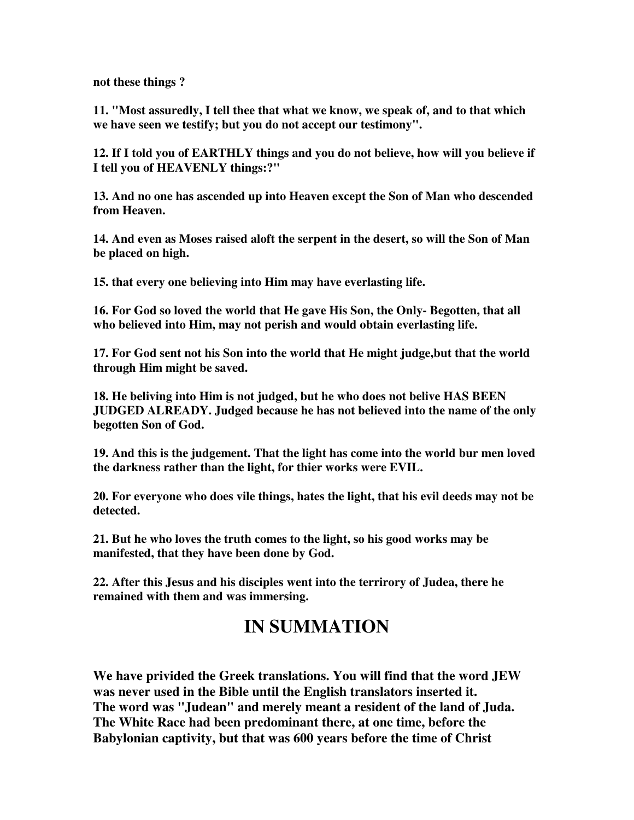**not these things ?** 

**11. "Most assuredly, I tell thee that what we know, we speak of, and to that which we have seen we testify; but you do not accept our testimony".** 

**12. If I told you of EARTHLY things and you do not believe, how will you believe if I tell you of HEAVENLY things:?"** 

**13. And no one has ascended up into Heaven except the Son of Man who descended from Heaven.** 

**14. And even as Moses raised aloft the serpent in the desert, so will the Son of Man be placed on high.** 

**15. that every one believing into Him may have everlasting life.** 

**16. For God so loved the world that He gave His Son, the Only- Begotten, that all who believed into Him, may not perish and would obtain everlasting life.** 

**17. For God sent not his Son into the world that He might judge,but that the world through Him might be saved.** 

**18. He beliving into Him is not judged, but he who does not belive HAS BEEN JUDGED ALREADY. Judged because he has not believed into the name of the only begotten Son of God.** 

**19. And this is the judgement. That the light has come into the world bur men loved the darkness rather than the light, for thier works were EVIL.** 

**20. For everyone who does vile things, hates the light, that his evil deeds may not be detected.** 

**21. But he who loves the truth comes to the light, so his good works may be manifested, that they have been done by God.** 

**22. After this Jesus and his disciples went into the terrirory of Judea, there he remained with them and was immersing.** 

### **IN SUMMATION**

**We have privided the Greek translations. You will find that the word JEW was never used in the Bible until the English translators inserted it. The word was "Judean" and merely meant a resident of the land of Juda. The White Race had been predominant there, at one time, before the Babylonian captivity, but that was 600 years before the time of Christ**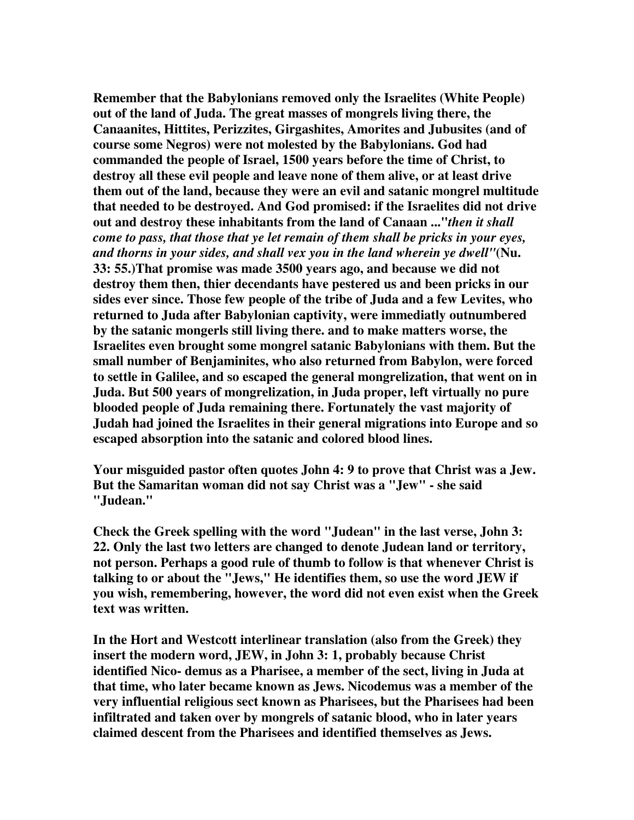**Remember that the Babylonians removed only the Israelites (White People) out of the land of Juda. The great masses of mongrels living there, the Canaanites, Hittites, Perizzites, Girgashites, Amorites and Jubusites (and of course some Negros) were not molested by the Babylonians. God had commanded the people of Israel, 1500 years before the time of Christ, to destroy all these evil people and leave none of them alive, or at least drive them out of the land, because they were an evil and satanic mongrel multitude that needed to be destroyed. And God promised: if the Israelites did not drive out and destroy these inhabitants from the land of Canaan ..."***then it shall come to pass, that those that ye let remain of them shall be pricks in your eyes, and thorns in your sides, and shall vex you in the land wherein ye dwell"***(Nu. 33: 55.)That promise was made 3500 years ago, and because we did not destroy them then, thier decendants have pestered us and been pricks in our sides ever since. Those few people of the tribe of Juda and a few Levites, who returned to Juda after Babylonian captivity, were immediatly outnumbered by the satanic mongerls still living there. and to make matters worse, the Israelites even brought some mongrel satanic Babylonians with them. But the small number of Benjaminites, who also returned from Babylon, were forced to settle in Galilee, and so escaped the general mongrelization, that went on in Juda. But 500 years of mongrelization, in Juda proper, left virtually no pure blooded people of Juda remaining there. Fortunately the vast majority of Judah had joined the Israelites in their general migrations into Europe and so escaped absorption into the satanic and colored blood lines.** 

**Your misguided pastor often quotes John 4: 9 to prove that Christ was a Jew. But the Samaritan woman did not say Christ was a "Jew" - she said "Judean."** 

**Check the Greek spelling with the word "Judean" in the last verse, John 3: 22. Only the last two letters are changed to denote Judean land or territory, not person. Perhaps a good rule of thumb to follow is that whenever Christ is talking to or about the "Jews," He identifies them, so use the word JEW if you wish, remembering, however, the word did not even exist when the Greek text was written.** 

**In the Hort and Westcott interlinear translation (also from the Greek) they insert the modern word, JEW, in John 3: 1, probably because Christ identified Nico- demus as a Pharisee, a member of the sect, living in Juda at that time, who later became known as Jews. Nicodemus was a member of the very influential religious sect known as Pharisees, but the Pharisees had been infiltrated and taken over by mongrels of satanic blood, who in later years claimed descent from the Pharisees and identified themselves as Jews.**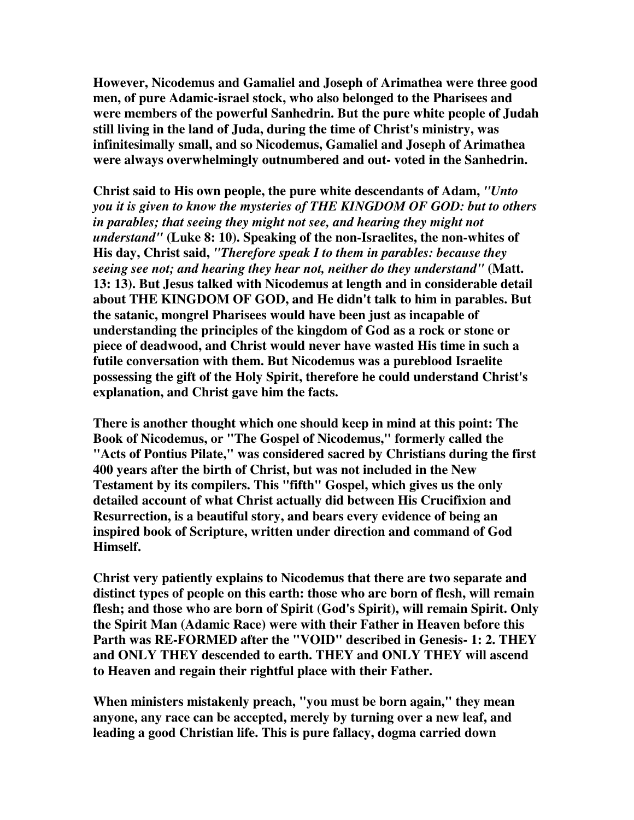**However, Nicodemus and Gamaliel and Joseph of Arimathea were three good men, of pure Adamic-israel stock, who also belonged to the Pharisees and were members of the powerful Sanhedrin. But the pure white people of Judah still living in the land of Juda, during the time of Christ's ministry, was infinitesimally small, and so Nicodemus, Gamaliel and Joseph of Arimathea were always overwhelmingly outnumbered and out- voted in the Sanhedrin.** 

**Christ said to His own people, the pure white descendants of Adam,** *"Unto you it is given to know the mysteries of THE KINGDOM OF GOD: but to others in parables; that seeing they might not see, and hearing they might not understand"* **(Luke 8: 10). Speaking of the non-Israelites, the non-whites of His day, Christ said,** *"Therefore speak I to them in parables: because they seeing see not; and hearing they hear not, neither do they understand"* **(Matt. 13: 13). But Jesus talked with Nicodemus at length and in considerable detail about THE KINGDOM OF GOD, and He didn't talk to him in parables. But the satanic, mongrel Pharisees would have been just as incapable of understanding the principles of the kingdom of God as a rock or stone or piece of deadwood, and Christ would never have wasted His time in such a futile conversation with them. But Nicodemus was a pureblood Israelite possessing the gift of the Holy Spirit, therefore he could understand Christ's explanation, and Christ gave him the facts.** 

**There is another thought which one should keep in mind at this point: The Book of Nicodemus, or "The Gospel of Nicodemus," formerly called the "Acts of Pontius Pilate," was considered sacred by Christians during the first 400 years after the birth of Christ, but was not included in the New Testament by its compilers. This "fifth" Gospel, which gives us the only detailed account of what Christ actually did between His Crucifixion and Resurrection, is a beautiful story, and bears every evidence of being an inspired book of Scripture, written under direction and command of God Himself.** 

**Christ very patiently explains to Nicodemus that there are two separate and distinct types of people on this earth: those who are born of flesh, will remain flesh; and those who are born of Spirit (God's Spirit), will remain Spirit. Only the Spirit Man (Adamic Race) were with their Father in Heaven before this Parth was RE-FORMED after the "VOID" described in Genesis- 1: 2. THEY and ONLY THEY descended to earth. THEY and ONLY THEY will ascend to Heaven and regain their rightful place with their Father.** 

**When ministers mistakenly preach, "you must be born again," they mean anyone, any race can be accepted, merely by turning over a new leaf, and leading a good Christian life. This is pure fallacy, dogma carried down**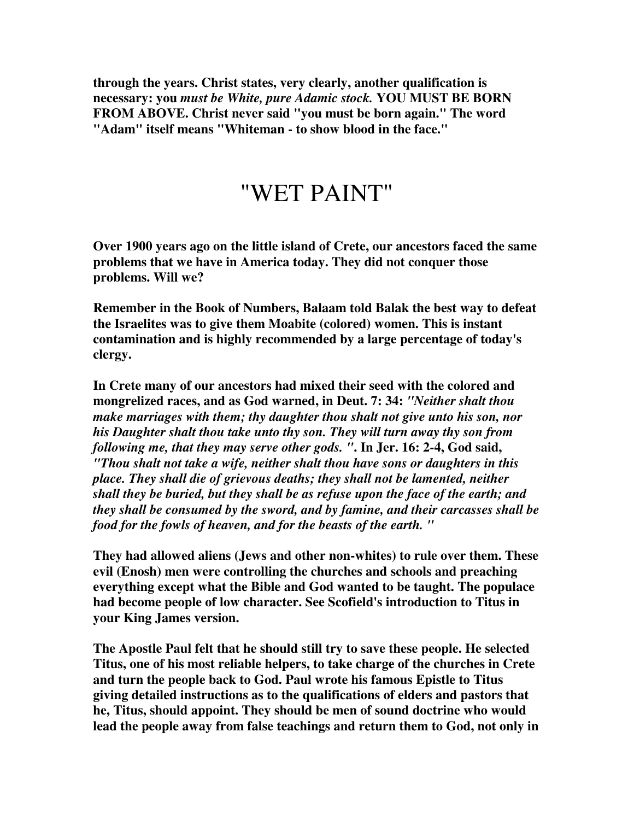**through the years. Christ states, very clearly, another qualification is necessary: you** *must be White, pure Adamic stock.* **YOU MUST BE BORN FROM ABOVE. Christ never said "you must be born again." The word "Adam" itself means "Whiteman - to show blood in the face."** 

## "WET PAINT"

**Over 1900 years ago on the little island of Crete, our ancestors faced the same problems that we have in America today. They did not conquer those problems. Will we?** 

**Remember in the Book of Numbers, Balaam told Balak the best way to defeat the Israelites was to give them Moabite (colored) women. This is instant contamination and is highly recommended by a large percentage of today's clergy.** 

**In Crete many of our ancestors had mixed their seed with the colored and mongrelized races, and as God warned, in Deut. 7: 34:** *"Neither shalt thou make marriages with them; thy daughter thou shalt not give unto his son, nor his Daughter shalt thou take unto thy son. They will turn away thy son from following me, that they may serve other gods. "***. In Jer. 16: 2-4, God said,**  *"Thou shalt not take a wife, neither shalt thou have sons or daughters in this place. They shall die of grievous deaths; they shall not be lamented, neither shall they be buried, but they shall be as refuse upon the face of the earth; and they shall be consumed by the sword, and by famine, and their carcasses shall be food for the fowls of heaven, and for the beasts of the earth. "*

**They had allowed aliens (Jews and other non-whites) to rule over them. These evil (Enosh) men were controlling the churches and schools and preaching everything except what the Bible and God wanted to be taught. The populace had become people of low character. See Scofield's introduction to Titus in your King James version.** 

**The Apostle Paul felt that he should still try to save these people. He selected Titus, one of his most reliable helpers, to take charge of the churches in Crete and turn the people back to God. Paul wrote his famous Epistle to Titus giving detailed instructions as to the qualifications of elders and pastors that he, Titus, should appoint. They should be men of sound doctrine who would lead the people away from false teachings and return them to God, not only in**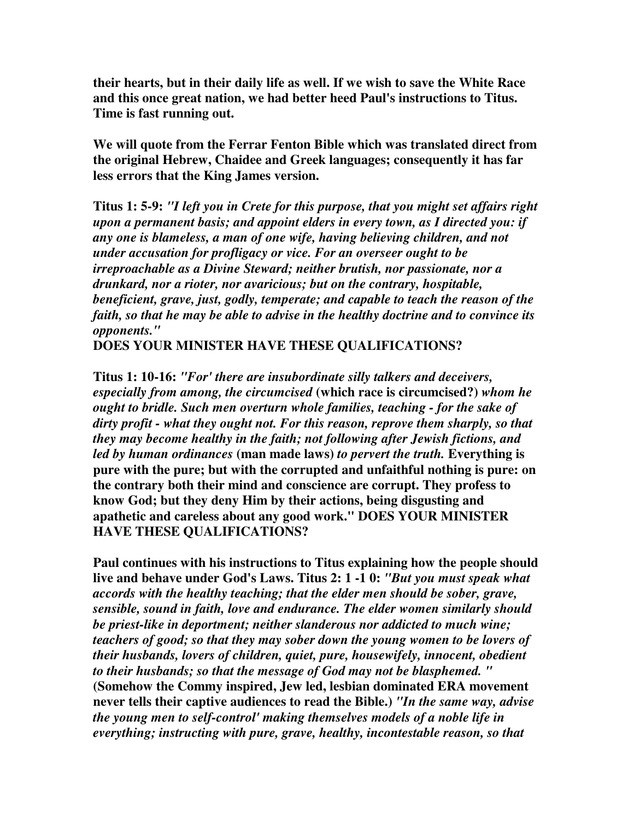**their hearts, but in their daily life as well. If we wish to save the White Race and this once great nation, we had better heed Paul's instructions to Titus. Time is fast running out.** 

**We will quote from the Ferrar Fenton Bible which was translated direct from the original Hebrew, Chaidee and Greek languages; consequently it has far less errors that the King James version.** 

**Titus 1: 5-9:** *"I left you in Crete for this purpose, that you might set affairs right upon a permanent basis; and appoint elders in every town, as I directed you: if any one is blameless, a man of one wife, having believing children, and not under accusation for profligacy or vice. For an overseer ought to be irreproachable as a Divine Steward; neither brutish, nor passionate, nor a drunkard, nor a rioter, nor avaricious; but on the contrary, hospitable, beneficient, grave, just, godly, temperate; and capable to teach the reason of the faith, so that he may be able to advise in the healthy doctrine and to convince its opponents."*

**DOES YOUR MINISTER HAVE THESE QUALIFICATIONS?** 

**Titus 1: 10-16:** *"For' there are insubordinate silly talkers and deceivers, especially from among, the circumcised* **(which race is circumcised?)** *whom he ought to bridle. Such men overturn whole families, teaching - for the sake of dirty profit - what they ought not. For this reason, reprove them sharply, so that they may become healthy in the faith; not following after Jewish fictions, and led by human ordinances* **(man made laws)** *to pervert the truth.* **Everything is pure with the pure; but with the corrupted and unfaithful nothing is pure: on the contrary both their mind and conscience are corrupt. They profess to know God; but they deny Him by their actions, being disgusting and apathetic and careless about any good work." DOES YOUR MINISTER HAVE THESE QUALIFICATIONS?** 

**Paul continues with his instructions to Titus explaining how the people should live and behave under God's Laws. Titus 2: 1 -1 0:** *"But you must speak what accords with the healthy teaching; that the elder men should be sober, grave, sensible, sound in faith, love and endurance. The elder women similarly should be priest-like in deportment; neither slanderous nor addicted to much wine; teachers of good; so that they may sober down the young women to be lovers of their husbands, lovers of children, quiet, pure, housewifely, innocent, obedient to their husbands; so that the message of God may not be blasphemed. "*  **(Somehow the Commy inspired, Jew led, lesbian dominated ERA movement never tells their captive audiences to read the Bible.)** *"In the same way, advise the young men to self-control' making themselves models of a noble life in everything; instructing with pure, grave, healthy, incontestable reason, so that*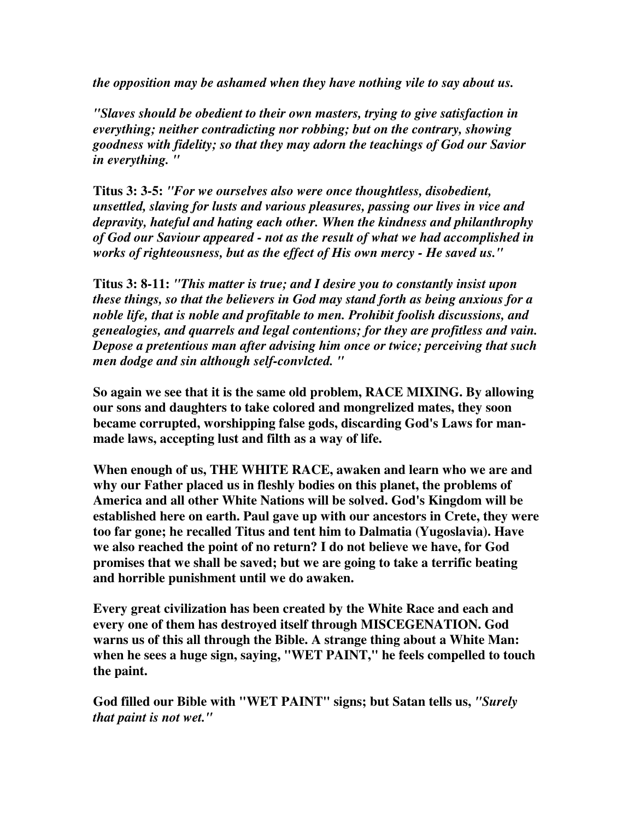*the opposition may be ashamed when they have nothing vile to say about us.* 

*"Slaves should be obedient to their own masters, trying to give satisfaction in everything; neither contradicting nor robbing; but on the contrary, showing goodness with fidelity; so that they may adorn the teachings of God our Savior in everything. "* 

**Titus 3: 3-5:** *"For we ourselves also were once thoughtless, disobedient, unsettled, slaving for lusts and various pleasures, passing our lives in vice and depravity, hateful and hating each other. When the kindness and philanthrophy of God our Saviour appeared - not as the result of what we had accomplished in works of righteousness, but as the effect of His own mercy - He saved us."* 

**Titus 3: 8-11:** *"This matter is true; and I desire you to constantly insist upon these things, so that the believers in God may stand forth as being anxious for a noble life, that is noble and profitable to men. Prohibit foolish discussions, and genealogies, and quarrels and legal contentions; for they are profitless and vain. Depose a pretentious man after advising him once or twice; perceiving that such men dodge and sin although self-convlcted. "*

**So again we see that it is the same old problem, RACE MIXING. By allowing our sons and daughters to take colored and mongrelized mates, they soon became corrupted, worshipping false gods, discarding God's Laws for manmade laws, accepting lust and filth as a way of life.** 

**When enough of us, THE WHITE RACE, awaken and learn who we are and why our Father placed us in fleshly bodies on this planet, the problems of America and all other White Nations will be solved. God's Kingdom will be established here on earth. Paul gave up with our ancestors in Crete, they were too far gone; he recalled Titus and tent him to Dalmatia (Yugoslavia). Have we also reached the point of no return? I do not believe we have, for God promises that we shall be saved; but we are going to take a terrific beating and horrible punishment until we do awaken.** 

**Every great civilization has been created by the White Race and each and every one of them has destroyed itself through MISCEGENATION. God warns us of this all through the Bible. A strange thing about a White Man: when he sees a huge sign, saying, "WET PAINT," he feels compelled to touch the paint.** 

**God filled our Bible with "WET PAINT" signs; but Satan tells us,** *"Surely that paint is not wet."*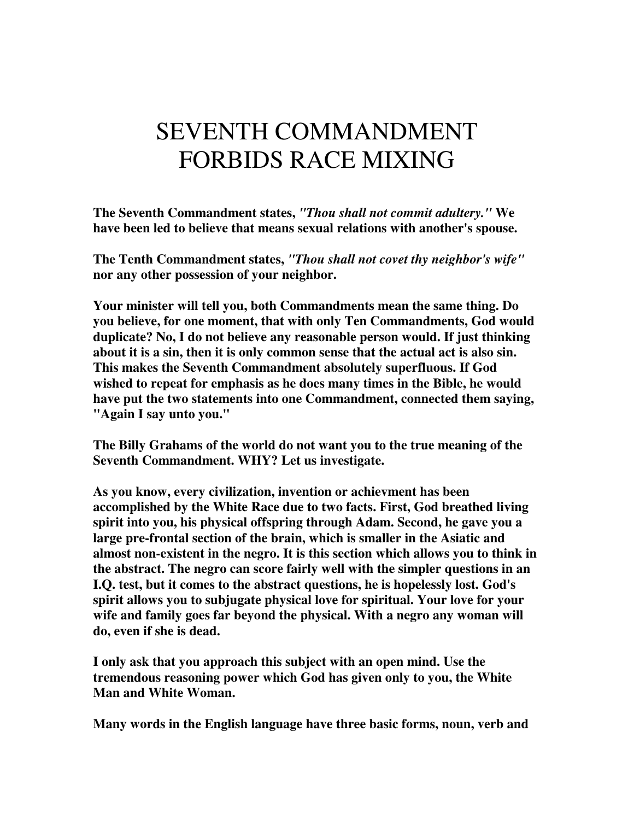# SEVENTH COMMANDMENT FORBIDS RACE MIXING

**The Seventh Commandment states,** *"Thou shall not commit adultery."* **We have been led to believe that means sexual relations with another's spouse.** 

**The Tenth Commandment states,** *"Thou shall not covet thy neighbor's wife"* **nor any other possession of your neighbor.** 

**Your minister will tell you, both Commandments mean the same thing. Do you believe, for one moment, that with only Ten Commandments, God would duplicate? No, I do not believe any reasonable person would. If just thinking about it is a sin, then it is only common sense that the actual act is also sin. This makes the Seventh Commandment absolutely superfluous. If God wished to repeat for emphasis as he does many times in the Bible, he would have put the two statements into one Commandment, connected them saying, "Again I say unto you."** 

**The Billy Grahams of the world do not want you to the true meaning of the Seventh Commandment. WHY? Let us investigate.** 

**As you know, every civilization, invention or achievment has been accomplished by the White Race due to two facts. First, God breathed living spirit into you, his physical offspring through Adam. Second, he gave you a large pre-frontal section of the brain, which is smaller in the Asiatic and almost non-existent in the negro. It is this section which allows you to think in the abstract. The negro can score fairly well with the simpler questions in an I.Q. test, but it comes to the abstract questions, he is hopelessly lost. God's spirit allows you to subjugate physical love for spiritual. Your love for your wife and family goes far beyond the physical. With a negro any woman will do, even if she is dead.** 

**I only ask that you approach this subject with an open mind. Use the tremendous reasoning power which God has given only to you, the White Man and White Woman.** 

**Many words in the English language have three basic forms, noun, verb and**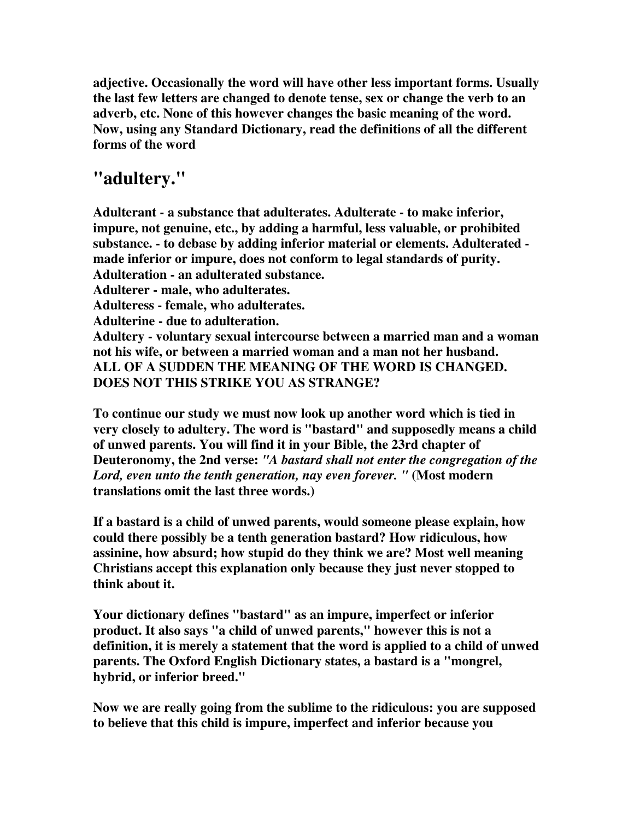**adjective. Occasionally the word will have other less important forms. Usually the last few letters are changed to denote tense, sex or change the verb to an adverb, etc. None of this however changes the basic meaning of the word. Now, using any Standard Dictionary, read the definitions of all the different forms of the word** 

### **"adultery."**

**Adulterant - a substance that adulterates. Adulterate - to make inferior, impure, not genuine, etc., by adding a harmful, less valuable, or prohibited substance. - to debase by adding inferior material or elements. Adulterated made inferior or impure, does not conform to legal standards of purity. Adulteration - an adulterated substance. Adulterer - male, who adulterates. Adulteress - female, who adulterates. Adulterine - due to adulteration. Adultery - voluntary sexual intercourse between a married man and a woman not his wife, or between a married woman and a man not her husband. ALL OF A SUDDEN THE MEANING OF THE WORD IS CHANGED. DOES NOT THIS STRIKE YOU AS STRANGE?** 

**To continue our study we must now look up another word which is tied in very closely to adultery. The word is "bastard" and supposedly means a child of unwed parents. You will find it in your Bible, the 23rd chapter of Deuteronomy, the 2nd verse:** *"A bastard shall not enter the congregation of the Lord, even unto the tenth generation, nay even forever. "* **(Most modern translations omit the last three words.)** 

**If a bastard is a child of unwed parents, would someone please explain, how could there possibly be a tenth generation bastard? How ridiculous, how assinine, how absurd; how stupid do they think we are? Most well meaning Christians accept this explanation only because they just never stopped to think about it.** 

**Your dictionary defines "bastard" as an impure, imperfect or inferior product. It also says "a child of unwed parents," however this is not a definition, it is merely a statement that the word is applied to a child of unwed parents. The Oxford English Dictionary states, a bastard is a "mongrel, hybrid, or inferior breed."** 

**Now we are really going from the sublime to the ridiculous: you are supposed to believe that this child is impure, imperfect and inferior because you**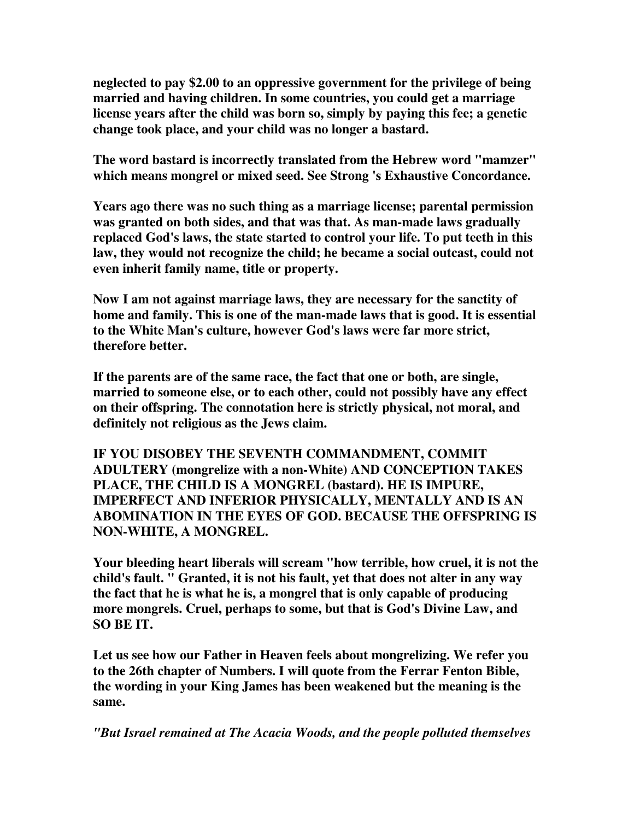**neglected to pay \$2.00 to an oppressive government for the privilege of being married and having children. In some countries, you could get a marriage license years after the child was born so, simply by paying this fee; a genetic change took place, and your child was no longer a bastard.** 

**The word bastard is incorrectly translated from the Hebrew word "mamzer" which means mongrel or mixed seed. See Strong 's Exhaustive Concordance.** 

**Years ago there was no such thing as a marriage license; parental permission was granted on both sides, and that was that. As man-made laws gradually replaced God's laws, the state started to control your life. To put teeth in this law, they would not recognize the child; he became a social outcast, could not even inherit family name, title or property.** 

**Now I am not against marriage laws, they are necessary for the sanctity of home and family. This is one of the man-made laws that is good. It is essential to the White Man's culture, however God's laws were far more strict, therefore better.** 

**If the parents are of the same race, the fact that one or both, are single, married to someone else, or to each other, could not possibly have any effect on their offspring. The connotation here is strictly physical, not moral, and definitely not religious as the Jews claim.** 

**IF YOU DISOBEY THE SEVENTH COMMANDMENT, COMMIT ADULTERY (mongrelize with a non-White) AND CONCEPTION TAKES PLACE, THE CHILD IS A MONGREL (bastard). HE IS IMPURE, IMPERFECT AND INFERIOR PHYSICALLY, MENTALLY AND IS AN ABOMINATION IN THE EYES OF GOD. BECAUSE THE OFFSPRING IS NON-WHITE, A MONGREL.** 

**Your bleeding heart liberals will scream "how terrible, how cruel, it is not the child's fault. " Granted, it is not his fault, yet that does not alter in any way the fact that he is what he is, a mongrel that is only capable of producing more mongrels. Cruel, perhaps to some, but that is God's Divine Law, and SO BE IT.** 

**Let us see how our Father in Heaven feels about mongrelizing. We refer you to the 26th chapter of Numbers. I will quote from the Ferrar Fenton Bible, the wording in your King James has been weakened but the meaning is the same.** 

*"But Israel remained at The Acacia Woods, and the people polluted themselves*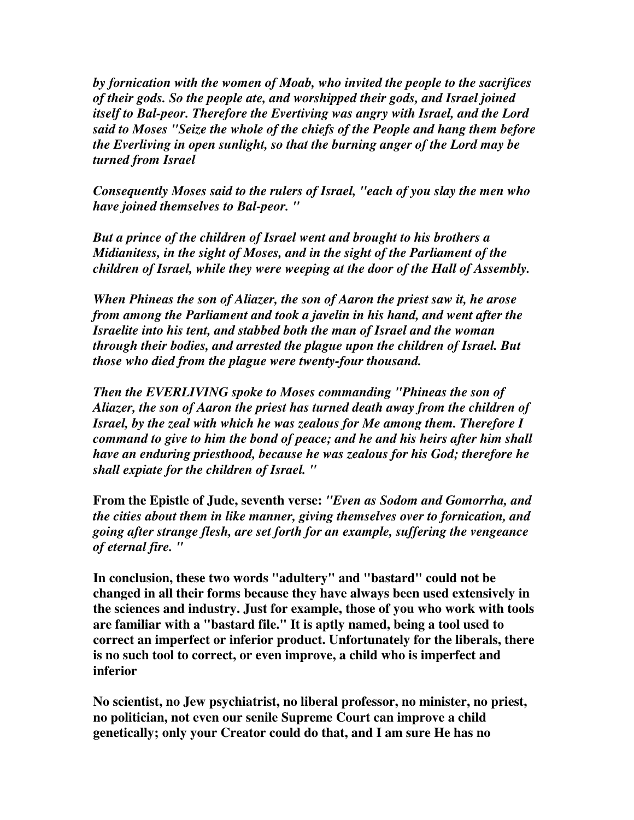*by fornication with the women of Moab, who invited the people to the sacrifices of their gods. So the people ate, and worshipped their gods, and Israel joined itself to Bal-peor. Therefore the Evertiving was angry with Israel, and the Lord said to Moses "Seize the whole of the chiefs of the People and hang them before the Everliving in open sunlight, so that the burning anger of the Lord may be turned from Israel* 

*Consequently Moses said to the rulers of Israel, "each of you slay the men who have joined themselves to Bal-peor. "* 

*But a prince of the children of Israel went and brought to his brothers a Midianitess, in the sight of Moses, and in the sight of the Parliament of the children of Israel, while they were weeping at the door of the Hall of Assembly.* 

*When Phineas the son of Aliazer, the son of Aaron the priest saw it, he arose from among the Parliament and took a javelin in his hand, and went after the Israelite into his tent, and stabbed both the man of Israel and the woman through their bodies, and arrested the plague upon the children of Israel. But those who died from the plague were twenty-four thousand.* 

*Then the EVERLIVING spoke to Moses commanding "Phineas the son of Aliazer, the son of Aaron the priest has turned death away from the children of Israel, by the zeal with which he was zealous for Me among them. Therefore I command to give to him the bond of peace; and he and his heirs after him shall have an enduring priesthood, because he was zealous for his God; therefore he shall expiate for the children of Israel. "*

**From the Epistle of Jude, seventh verse:** *"Even as Sodom and Gomorrha, and the cities about them in like manner, giving themselves over to fornication, and going after strange flesh, are set forth for an example, suffering the vengeance of eternal fire. "*

**In conclusion, these two words "adultery" and "bastard" could not be changed in all their forms because they have always been used extensively in the sciences and industry. Just for example, those of you who work with tools are familiar with a "bastard file." It is aptly named, being a tool used to correct an imperfect or inferior product. Unfortunately for the liberals, there is no such tool to correct, or even improve, a child who is imperfect and inferior** 

**No scientist, no Jew psychiatrist, no liberal professor, no minister, no priest, no politician, not even our senile Supreme Court can improve a child genetically; only your Creator could do that, and I am sure He has no**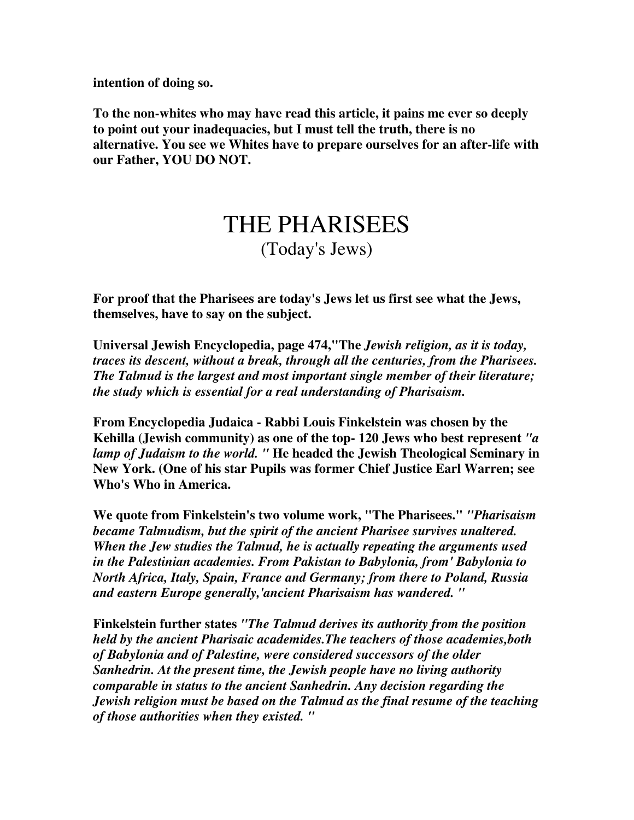**intention of doing so.** 

**To the non-whites who may have read this article, it pains me ever so deeply to point out your inadequacies, but I must tell the truth, there is no alternative. You see we Whites have to prepare ourselves for an after-life with our Father, YOU DO NOT.** 

## THE PHARISEES (Today's Jews)

**For proof that the Pharisees are today's Jews let us first see what the Jews, themselves, have to say on the subject.** 

**Universal Jewish Encyclopedia, page 474,"The** *Jewish religion, as it is today, traces its descent, without a break, through all the centuries, from the Pharisees. The Talmud is the largest and most important single member of their literature; the study which is essential for a real understanding of Pharisaism.* 

**From Encyclopedia Judaica - Rabbi Louis Finkelstein was chosen by the Kehilla (Jewish community) as one of the top- 120 Jews who best represent** *"a lamp of Judaism to the world. "* **He headed the Jewish Theological Seminary in New York. (One of his star Pupils was former Chief Justice Earl Warren; see Who's Who in America.** 

**We quote from Finkelstein's two volume work, "The Pharisees."** *"Pharisaism became Talmudism, but the spirit of the ancient Pharisee survives unaltered. When the Jew studies the Talmud, he is actually repeating the arguments used in the Palestinian academies. From Pakistan to Babylonia, from' Babylonia to North Africa, Italy, Spain, France and Germany; from there to Poland, Russia and eastern Europe generally,'ancient Pharisaism has wandered. "*

**Finkelstein further states** *"The Talmud derives its authority from the position held by the ancient Pharisaic academides.The teachers of those academies,both of Babylonia and of Palestine, were considered successors of the older Sanhedrin. At the present time, the Jewish people have no living authority comparable in status to the ancient Sanhedrin. Any decision regarding the Jewish religion must be based on the Talmud as the final resume of the teaching of those authorities when they existed. "*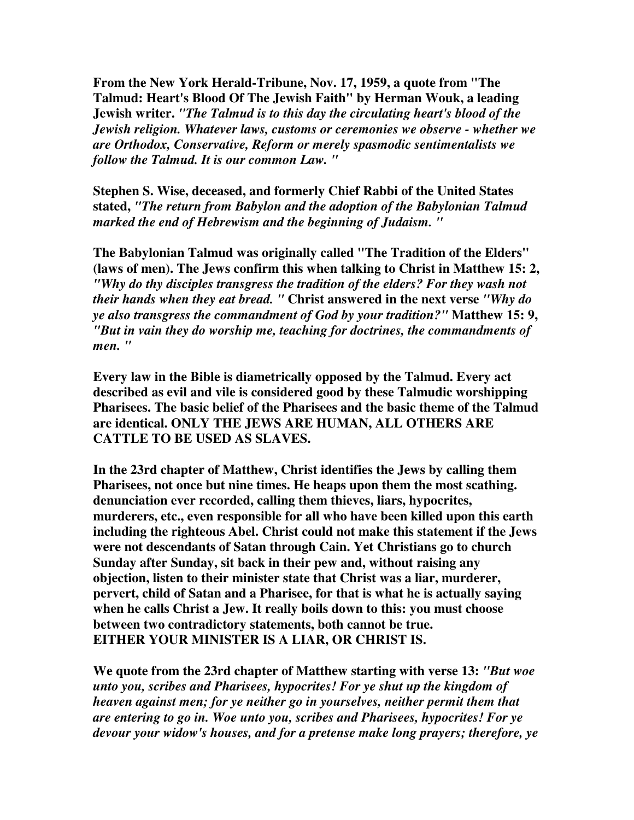**From the New York Herald-Tribune, Nov. 17, 1959, a quote from "The Talmud: Heart's Blood Of The Jewish Faith" by Herman Wouk, a leading Jewish writer.** *"The Talmud is to this day the circulating heart's blood of the Jewish religion. Whatever laws, customs or ceremonies we observe - whether we are Orthodox, Conservative, Reform or merely spasmodic sentimentalists we follow the Talmud. It is our common Law. "*

**Stephen S. Wise, deceased, and formerly Chief Rabbi of the United States stated,** *"The return from Babylon and the adoption of the Babylonian Talmud marked the end of Hebrewism and the beginning of Judaism. "*

**The Babylonian Talmud was originally called "The Tradition of the Elders" (laws of men). The Jews confirm this when talking to Christ in Matthew 15: 2,**  *"Why do thy disciples transgress the tradition of the elders? For they wash not their hands when they eat bread. "* **Christ answered in the next verse** *"Why do ye also transgress the commandment of God by your tradition?"* **Matthew 15: 9,**  *"But in vain they do worship me, teaching for doctrines, the commandments of men. "*

**Every law in the Bible is diametrically opposed by the Talmud. Every act described as evil and vile is considered good by these Talmudic worshipping Pharisees. The basic belief of the Pharisees and the basic theme of the Talmud are identical. ONLY THE JEWS ARE HUMAN, ALL OTHERS ARE CATTLE TO BE USED AS SLAVES.** 

**In the 23rd chapter of Matthew, Christ identifies the Jews by calling them Pharisees, not once but nine times. He heaps upon them the most scathing. denunciation ever recorded, calling them thieves, liars, hypocrites, murderers, etc., even responsible for all who have been killed upon this earth including the righteous Abel. Christ could not make this statement if the Jews were not descendants of Satan through Cain. Yet Christians go to church Sunday after Sunday, sit back in their pew and, without raising any objection, listen to their minister state that Christ was a liar, murderer, pervert, child of Satan and a Pharisee, for that is what he is actually saying when he calls Christ a Jew. It really boils down to this: you must choose between two contradictory statements, both cannot be true. EITHER YOUR MINISTER IS A LIAR, OR CHRIST IS.** 

**We quote from the 23rd chapter of Matthew starting with verse 13:** *"But woe unto you, scribes and Pharisees, hypocrites! For ye shut up the kingdom of heaven against men; for ye neither go in yourselves, neither permit them that are entering to go in. Woe unto you, scribes and Pharisees, hypocrites! For ye devour your widow's houses, and for a pretense make long prayers; therefore, ye*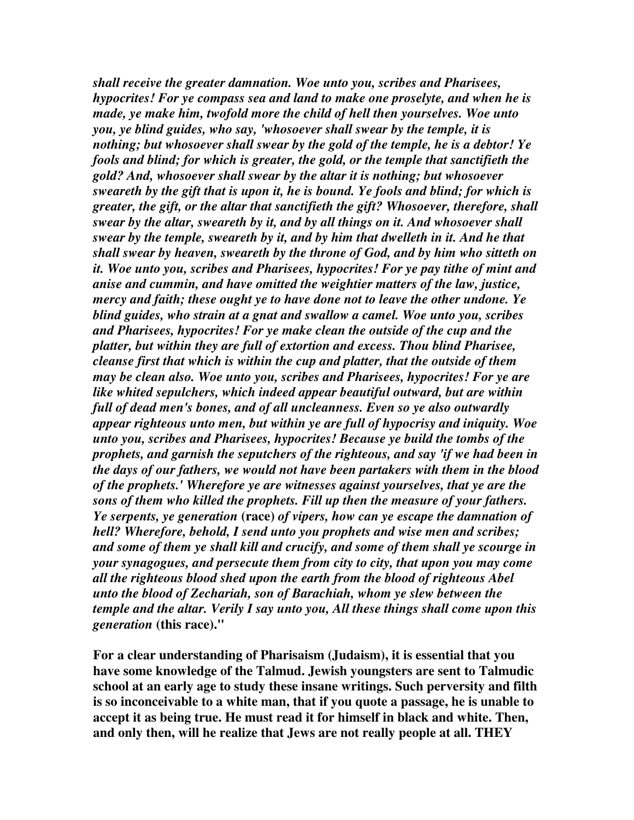*shall receive the greater damnation. Woe unto you, scribes and Pharisees, hypocrites! For ye compass sea and land to make one proselyte, and when he is made, ye make him, twofold more the child of hell then yourselves. Woe unto you, ye blind guides, who say, 'whosoever shall swear by the temple, it is nothing; but whosoever shall swear by the gold of the temple, he is a debtor! Ye fools and blind; for which is greater, the gold, or the temple that sanctifieth the gold? And, whosoever shall swear by the altar it is nothing; but whosoever sweareth by the gift that is upon it, he is bound. Ye fools and blind; for which is greater, the gift, or the altar that sanctifieth the gift? Whosoever, therefore, shall swear by the altar, sweareth by it, and by all things on it. And whosoever shall swear by the temple, sweareth by it, and by him that dwelleth in it. And he that shall swear by heaven, sweareth by the throne of God, and by him who sitteth on it. Woe unto you, scribes and Pharisees, hypocrites! For ye pay tithe of mint and anise and cummin, and have omitted the weightier matters of the law, justice, mercy and faith; these ought ye to have done not to leave the other undone. Ye blind guides, who strain at a gnat and swallow a camel. Woe unto you, scribes and Pharisees, hypocrites! For ye make clean the outside of the cup and the platter, but within they are full of extortion and excess. Thou blind Pharisee, cleanse first that which is within the cup and platter, that the outside of them may be clean also. Woe unto you, scribes and Pharisees, hypocrites! For ye are like whited sepulchers, which indeed appear beautiful outward, but are within full of dead men's bones, and of all uncleanness. Even so ye also outwardly appear righteous unto men, but within ye are full of hypocrisy and iniquity. Woe unto you, scribes and Pharisees, hypocrites! Because ye build the tombs of the prophets, and garnish the seputchers of the righteous, and say 'if we had been in the days of our fathers, we would not have been partakers with them in the blood of the prophets.' Wherefore ye are witnesses against yourselves, that ye are the sons of them who killed the prophets. Fill up then the measure of your fathers. Ye serpents, ye generation* **(race)** *of vipers, how can ye escape the damnation of hell? Wherefore, behold, I send unto you prophets and wise men and scribes; and some of them ye shall kill and crucify, and some of them shall ye scourge in your synagogues, and persecute them from city to city, that upon you may come all the righteous blood shed upon the earth from the blood of righteous Abel unto the blood of Zechariah, son of Barachiah, whom ye slew between the temple and the altar. Verily I say unto you, All these things shall come upon this generation* **(this race)."** 

**For a clear understanding of Pharisaism (Judaism), it is essential that you have some knowledge of the Talmud. Jewish youngsters are sent to Talmudic school at an early age to study these insane writings. Such perversity and filth is so inconceivable to a white man, that if you quote a passage, he is unable to accept it as being true. He must read it for himself in black and white. Then, and only then, will he realize that Jews are not really people at all. THEY**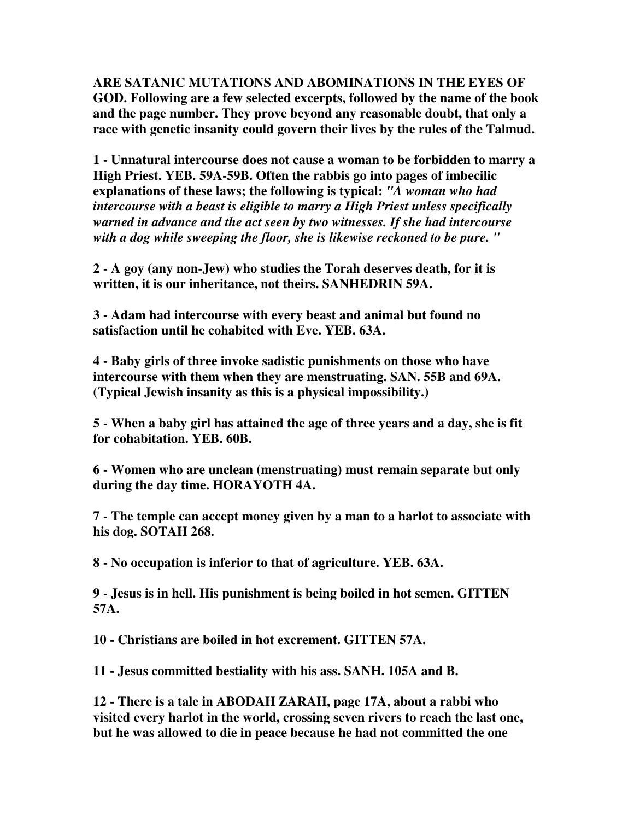**ARE SATANIC MUTATIONS AND ABOMINATIONS IN THE EYES OF GOD. Following are a few selected excerpts, followed by the name of the book and the page number. They prove beyond any reasonable doubt, that only a race with genetic insanity could govern their lives by the rules of the Talmud.** 

**1 - Unnatural intercourse does not cause a woman to be forbidden to marry a High Priest. YEB. 59A-59B. Often the rabbis go into pages of imbecilic explanations of these laws; the following is typical:** *"A woman who had intercourse with a beast is eligible to marry a High Priest unless specifically warned in advance and the act seen by two witnesses. If she had intercourse with a dog while sweeping the floor, she is likewise reckoned to be pure. "*

**2 - A goy (any non-Jew) who studies the Torah deserves death, for it is written, it is our inheritance, not theirs. SANHEDRIN 59A.** 

**3 - Adam had intercourse with every beast and animal but found no satisfaction until he cohabited with Eve. YEB. 63A.** 

**4 - Baby girls of three invoke sadistic punishments on those who have intercourse with them when they are menstruating. SAN. 55B and 69A. (Typical Jewish insanity as this is a physical impossibility.)** 

**5 - When a baby girl has attained the age of three years and a day, she is fit for cohabitation. YEB. 60B.** 

**6 - Women who are unclean (menstruating) must remain separate but only during the day time. HORAYOTH 4A.** 

**7 - The temple can accept money given by a man to a harlot to associate with his dog. SOTAH 268.** 

**8 - No occupation is inferior to that of agriculture. YEB. 63A.** 

**9 - Jesus is in hell. His punishment is being boiled in hot semen. GITTEN 57A.** 

**10 - Christians are boiled in hot excrement. GITTEN 57A.** 

**11 - Jesus committed bestiality with his ass. SANH. 105A and B.** 

**12 - There is a tale in ABODAH ZARAH, page 17A, about a rabbi who visited every harlot in the world, crossing seven rivers to reach the last one, but he was allowed to die in peace because he had not committed the one**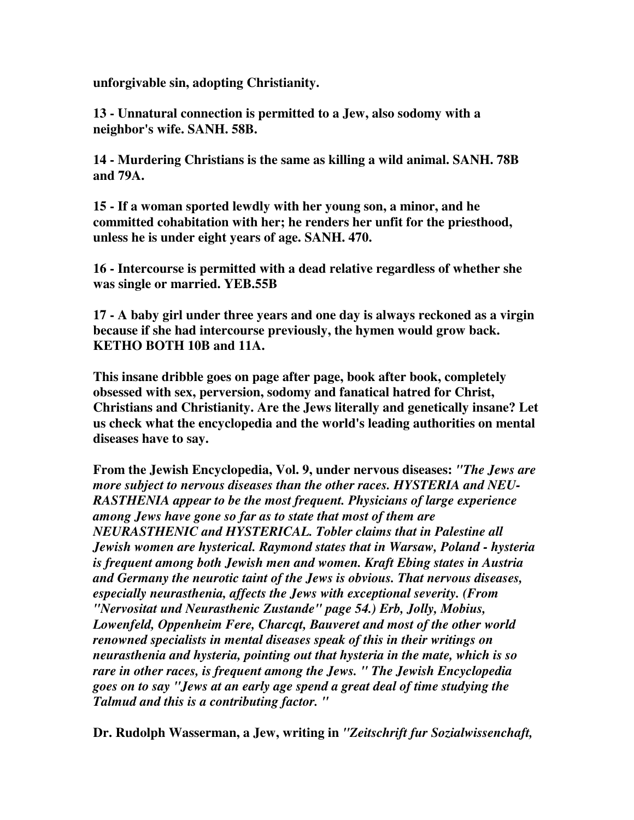**unforgivable sin, adopting Christianity.** 

**13 - Unnatural connection is permitted to a Jew, also sodomy with a neighbor's wife. SANH. 58B.** 

**14 - Murdering Christians is the same as killing a wild animal. SANH. 78B and 79A.** 

**15 - If a woman sported lewdly with her young son, a minor, and he committed cohabitation with her; he renders her unfit for the priesthood, unless he is under eight years of age. SANH. 470.** 

**16 - Intercourse is permitted with a dead relative regardless of whether she was single or married. YEB.55B** 

**17 - A baby girl under three years and one day is always reckoned as a virgin because if she had intercourse previously, the hymen would grow back. KETHO BOTH 10B and 11A.** 

**This insane dribble goes on page after page, book after book, completely obsessed with sex, perversion, sodomy and fanatical hatred for Christ, Christians and Christianity. Are the Jews literally and genetically insane? Let us check what the encyclopedia and the world's leading authorities on mental diseases have to say.** 

**From the Jewish Encyclopedia, Vol. 9, under nervous diseases:** *"The Jews are more subject to nervous diseases than the other races. HYSTERIA and NEU-RASTHENIA appear to be the most frequent. Physicians of large experience among Jews have gone so far as to state that most of them are NEURASTHENIC and HYSTERICAL. Tobler claims that in Palestine all Jewish women are hysterical. Raymond states that in Warsaw, Poland - hysteria is frequent among both Jewish men and women. Kraft Ebing states in Austria and Germany the neurotic taint of the Jews is obvious. That nervous diseases, especially neurasthenia, affects the Jews with exceptional severity. (From "Nervositat und Neurasthenic Zustande" page 54.) Erb, Jolly, Mobius, Lowenfeld, Oppenheim Fere, Charcqt, Bauveret and most of the other world renowned specialists in mental diseases speak of this in their writings on neurasthenia and hysteria, pointing out that hysteria in the mate, which is so rare in other races, is frequent among the Jews. " The Jewish Encyclopedia goes on to say "Jews at an early age spend a great deal of time studying the Talmud and this is a contributing factor. "* 

**Dr. Rudolph Wasserman, a Jew, writing in** *"Zeitschrift fur Sozialwissenchaft,*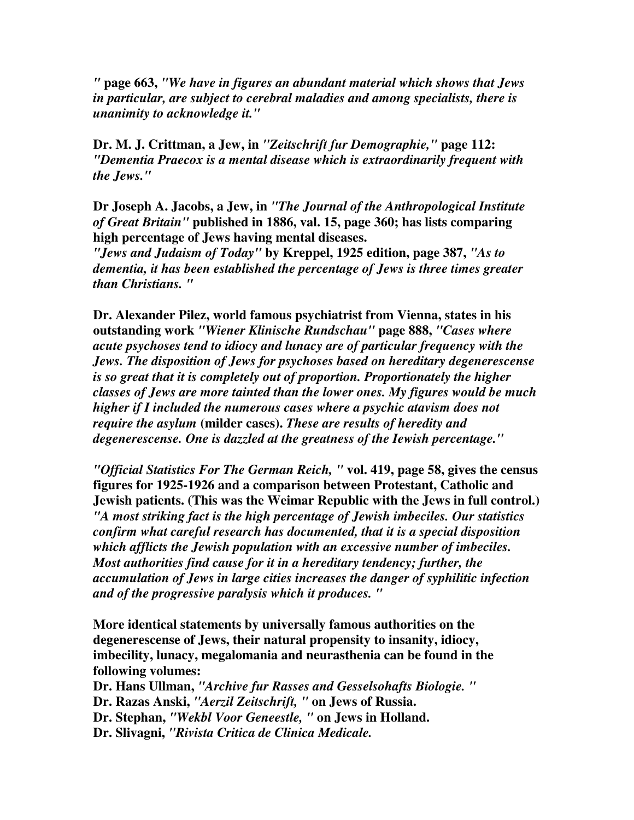*"* **page 663,** *"We have in figures an abundant material which shows that Jews in particular, are subject to cerebral maladies and among specialists, there is unanimity to acknowledge it."* 

**Dr. M. J. Crittman, a Jew, in** *"Zeitschrift fur Demographie,"* **page 112:**  *"Dementia Praecox is a mental disease which is extraordinarily frequent with the Jews."*

**Dr Joseph A. Jacobs, a Jew, in** *"The Journal of the Anthropological Institute of Great Britain"* **published in 1886, val. 15, page 360; has lists comparing high percentage of Jews having mental diseases.** 

*"Jews and Judaism of Today"* **by Kreppel, 1925 edition, page 387,** *"As to dementia, it has been established the percentage of Jews is three times greater than Christians. "*

**Dr. Alexander Pilez, world famous psychiatrist from Vienna, states in his outstanding work** *"Wiener Klinische Rundschau"* **page 888,** *"Cases where acute psychoses tend to idiocy and lunacy are of particular frequency with the Jews. The disposition of Jews for psychoses based on hereditary degenerescense is so great that it is completely out of proportion. Proportionately the higher classes of Jews are more tainted than the lower ones. My figures would be much higher if I included the numerous cases where a psychic atavism does not require the asylum* **(milder cases).** *These are results of heredity and degenerescense. One is dazzled at the greatness of the Iewish percentage."* 

*"Official Statistics For The German Reich, "* **vol. 419, page 58, gives the census figures for 1925-1926 and a comparison between Protestant, Catholic and Jewish patients. (This was the Weimar Republic with the Jews in full control.)**  *"A most striking fact is the high percentage of Jewish imbeciles. Our statistics confirm what careful research has documented, that it is a special disposition which afflicts the Jewish population with an excessive number of imbeciles. Most authorities find cause for it in a hereditary tendency; further, the accumulation of Jews in large cities increases the danger of syphilitic infection and of the progressive paralysis which it produces. "* 

**More identical statements by universally famous authorities on the degenerescense of Jews, their natural propensity to insanity, idiocy, imbecility, lunacy, megalomania and neurasthenia can be found in the following volumes:** 

**Dr. Hans Ullman,** *"Archive fur Rasses and Gesselsohafts Biologie. "* **Dr. Razas Anski,** *"Aerzil Zeitschrift, "* **on Jews of Russia. Dr. Stephan,** *"Wekbl Voor Geneestle, "* **on Jews in Holland. Dr. Slivagni,** *"Rivista Critica de Clinica Medicale.*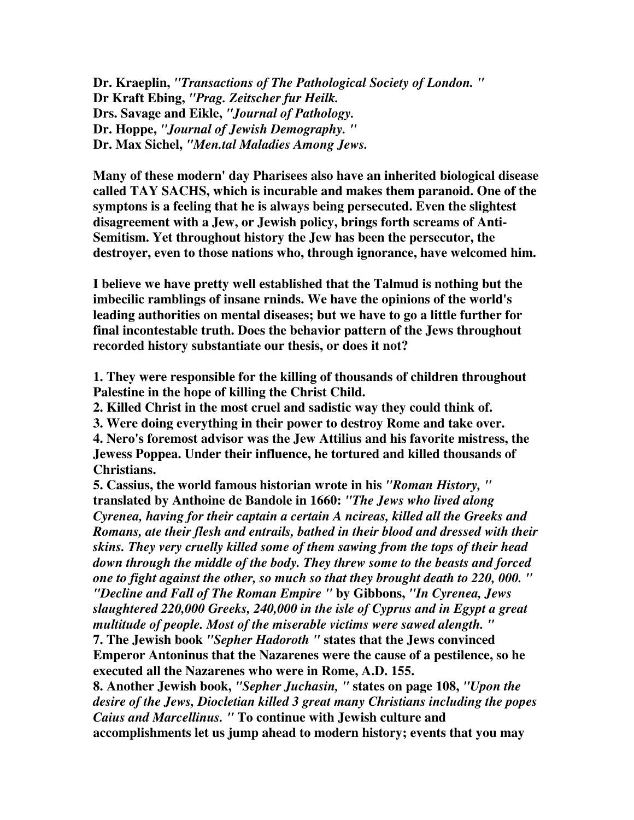**Dr. Kraeplin,** *"Transactions of The Pathological Society of London. "* **Dr Kraft Ebing,** *"Prag. Zeitscher fur Heilk.* **Drs. Savage and Eikle,** *"Journal of Pathology.*  **Dr. Hoppe,** *"Journal of Jewish Demography. "* **Dr. Max Sichel,** *"Men.tal Maladies Among Jews.*

**Many of these modern' day Pharisees also have an inherited biological disease called TAY SACHS, which is incurable and makes them paranoid. One of the symptons is a feeling that he is always being persecuted. Even the slightest disagreement with a Jew, or Jewish policy, brings forth screams of Anti-Semitism. Yet throughout history the Jew has been the persecutor, the destroyer, even to those nations who, through ignorance, have welcomed him.** 

**I believe we have pretty well established that the Talmud is nothing but the imbecilic ramblings of insane rninds. We have the opinions of the world's leading authorities on mental diseases; but we have to go a little further for final incontestable truth. Does the behavior pattern of the Jews throughout recorded history substantiate our thesis, or does it not?** 

**1. They were responsible for the killing of thousands of children throughout Palestine in the hope of killing the Christ Child.** 

**2. Killed Christ in the most cruel and sadistic way they could think of.** 

**3. Were doing everything in their power to destroy Rome and take over.** 

**4. Nero's foremost advisor was the Jew Attilius and his favorite mistress, the Jewess Poppea. Under their influence, he tortured and killed thousands of Christians.** 

**5. Cassius, the world famous historian wrote in his** *"Roman History, "* **translated by Anthoine de Bandole in 1660:** *"The Jews who lived along Cyrenea, having for their captain a certain A ncireas, killed all the Greeks and Romans, ate their flesh and entrails, bathed in their blood and dressed with their skins. They very cruelly killed some of them sawing from the tops of their head down through the middle of the body. They threw some to the beasts and forced one to fight against the other, so much so that they brought death to 220, 000. " "Decline and Fall of The Roman Empire "* **by Gibbons,** *"In Cyrenea, Jews slaughtered 220,000 Greeks, 240,000 in the isle of Cyprus and in Egypt a great multitude of people. Most of the miserable victims were sawed alength. "*

**7. The Jewish book** *"Sepher Hadoroth "* **states that the Jews convinced Emperor Antoninus that the Nazarenes were the cause of a pestilence, so he executed all the Nazarenes who were in Rome, A.D. 155.** 

**8. Another Jewish book,** *"Sepher Juchasin, "* **states on page 108,** *"Upon the desire of the Jews, Diocletian killed 3 great many Christians including the popes Caius and Marcellinus. "* **To continue with Jewish culture and accomplishments let us jump ahead to modern history; events that you may**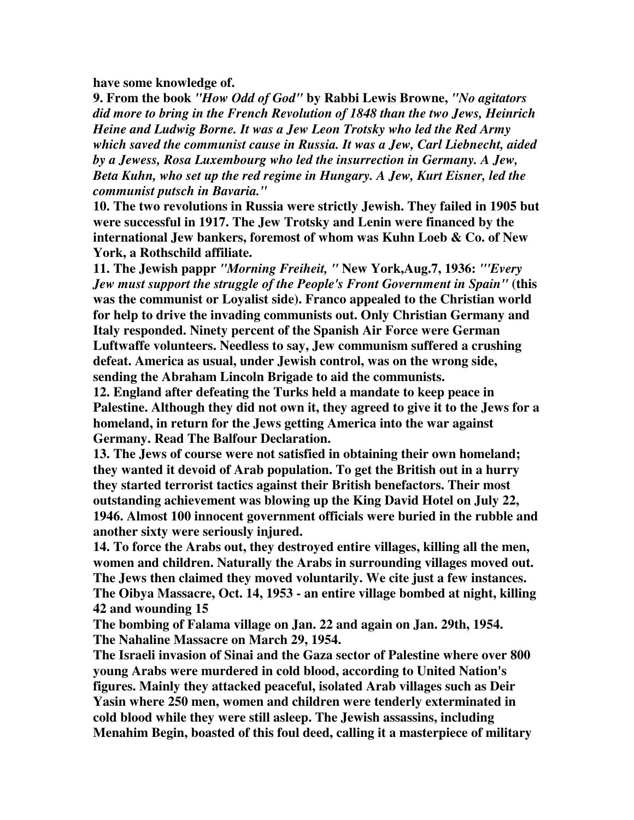**have some knowledge of.** 

**9. From the book** *"How Odd of God"* **by Rabbi Lewis Browne,** *"No agitators did more to bring in the French Revolution of 1848 than the two Jews, Heinrich Heine and Ludwig Borne. It was a Jew Leon Trotsky who led the Red Army which saved the communist cause in Russia. It was a Jew, Carl Liebnecht, aided by a Jewess, Rosa Luxembourg who led the insurrection in Germany. A Jew, Beta Kuhn, who set up the red regime in Hungary. A Jew, Kurt Eisner, led the communist putsch in Bavaria."*

**10. The two revolutions in Russia were strictly Jewish. They failed in 1905 but were successful in 1917. The Jew Trotsky and Lenin were financed by the international Jew bankers, foremost of whom was Kuhn Loeb & Co. of New York, a Rothschild affiliate.** 

**11. The Jewish pappr** *"Morning Freiheit, "* **New York,Aug.7, 1936:** *"'Every Jew must support the struggle of the People's Front Government in Spain"* **(this was the communist or Loyalist side). Franco appealed to the Christian world for help to drive the invading communists out. Only Christian Germany and Italy responded. Ninety percent of the Spanish Air Force were German Luftwaffe volunteers. Needless to say, Jew communism suffered a crushing defeat. America as usual, under Jewish control, was on the wrong side, sending the Abraham Lincoln Brigade to aid the communists.** 

**12. England after defeating the Turks held a mandate to keep peace in Palestine. Although they did not own it, they agreed to give it to the Jews for a homeland, in return for the Jews getting America into the war against Germany. Read The Balfour Declaration.** 

**13. The Jews of course were not satisfied in obtaining their own homeland; they wanted it devoid of Arab population. To get the British out in a hurry they started terrorist tactics against their British benefactors. Their most outstanding achievement was blowing up the King David Hotel on July 22, 1946. Almost 100 innocent government officials were buried in the rubble and another sixty were seriously injured.** 

**14. To force the Arabs out, they destroyed entire villages, killing all the men, women and children. Naturally the Arabs in surrounding villages moved out. The Jews then claimed they moved voluntarily. We cite just a few instances. The Oibya Massacre, Oct. 14, 1953 - an entire village bombed at night, killing 42 and wounding 15** 

**The bombing of Falama village on Jan. 22 and again on Jan. 29th, 1954. The Nahaline Massacre on March 29, 1954.** 

**The Israeli invasion of Sinai and the Gaza sector of Palestine where over 800 young Arabs were murdered in cold blood, according to United Nation's figures. Mainly they attacked peaceful, isolated Arab villages such as Deir Yasin where 250 men, women and children were tenderly exterminated in cold blood while they were still asleep. The Jewish assassins, including Menahim Begin, boasted of this foul deed, calling it a masterpiece of military**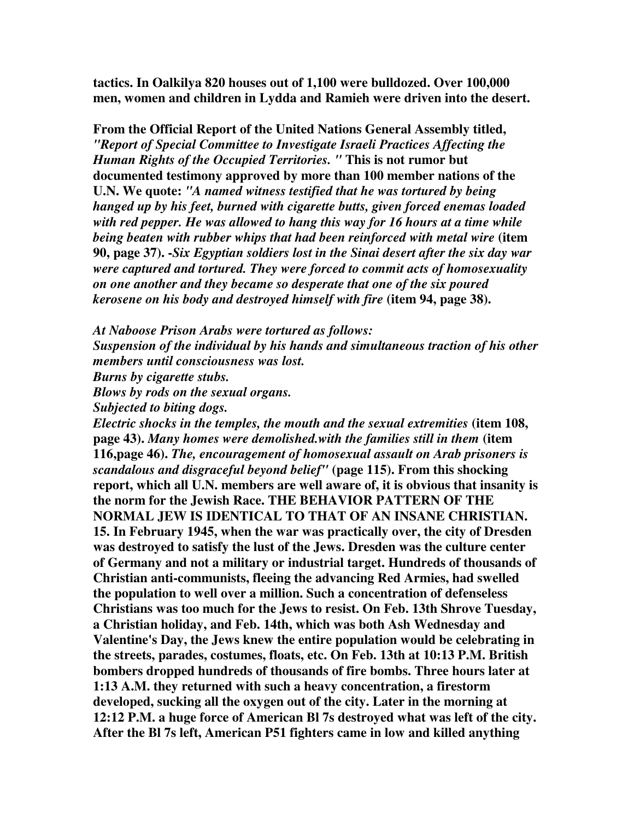**tactics. In Oalkilya 820 houses out of 1,100 were bulldozed. Over 100,000 men, women and children in Lydda and Ramieh were driven into the desert.** 

**From the Official Report of the United Nations General Assembly titled,**  *"Report of Special Committee to Investigate Israeli Practices Affecting the Human Rights of the Occupied Territories. "* **This is not rumor but documented testimony approved by more than 100 member nations of the U.N. We quote:** *"A named witness testified that he was tortured by being hanged up by his feet, burned with cigarette butts, given forced enemas loaded with red pepper. He was allowed to hang this way for 16 hours at a time while being beaten with rubber whips that had been reinforced with metal wire* **(item 90, page 37). -***Six Egyptian soldiers lost in the Sinai desert after the six day war were captured and tortured. They were forced to commit acts of homosexuality on one another and they became so desperate that one of the six poured kerosene on his body and destroyed himself with fire* **(item 94, page 38).**

*At Naboose Prison Arabs were tortured as follows:* 

*Suspension of the individual by his hands and simultaneous traction of his other members until consciousness was lost.* 

*Burns by cigarette stubs.* 

*Blows by rods on the sexual organs.* 

*Subjected to biting dogs.* 

*Electric shocks in the temples, the mouth and the sexual extremities* **(item 108, page 43).** *Many homes were demolished.with the families still in them* **(item 116,page 46).** *The, encouragement of homosexual assault on Arab prisoners is scandalous and disgraceful beyond belief"* **(page 115). From this shocking report, which all U.N. members are well aware of, it is obvious that insanity is the norm for the Jewish Race. THE BEHAVIOR PATTERN OF THE NORMAL JEW IS IDENTICAL TO THAT OF AN INSANE CHRISTIAN. 15. In February 1945, when the war was practically over, the city of Dresden was destroyed to satisfy the lust of the Jews. Dresden was the culture center of Germany and not a military or industrial target. Hundreds of thousands of Christian anti-communists, fleeing the advancing Red Armies, had swelled the population to well over a million. Such a concentration of defenseless Christians was too much for the Jews to resist. On Feb. 13th Shrove Tuesday, a Christian holiday, and Feb. 14th, which was both Ash Wednesday and Valentine's Day, the Jews knew the entire population would be celebrating in the streets, parades, costumes, floats, etc. On Feb. 13th at 10:13 P.M. British bombers dropped hundreds of thousands of fire bombs. Three hours later at 1:13 A.M. they returned with such a heavy concentration, a firestorm developed, sucking all the oxygen out of the city. Later in the morning at 12:12 P.M. a huge force of American Bl 7s destroyed what was left of the city. After the Bl 7s left, American P51 fighters came in low and killed anything**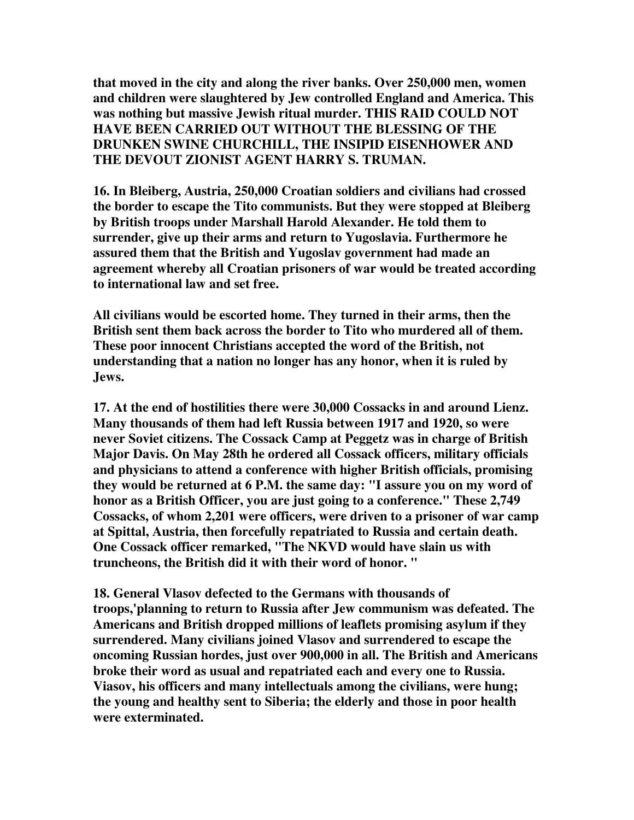**that moved in the city and along the river banks. Over 250,000 men, women and children were slaughtered by Jew controlled England and America. This was nothing but massive Jewish ritual murder. THIS RAID COULD NOT HAVE BEEN CARRIED OUT WITHOUT THE BLESSING OF THE DRUNKEN SWINE CHURCHILL, THE INSIPID EISENHOWER AND THE DEVOUT ZIONIST AGENT HARRY S. TRUMAN.** 

**16. In Bleiberg, Austria, 250,000 Croatian soldiers and civilians had crossed the border to escape the Tito communists. But they were stopped at Bleiberg by British troops under Marshall Harold Alexander. He told them to surrender, give up their arms and return to Yugoslavia. Furthermore he assured them that the British and Yugoslav government had made an agreement whereby all Croatian prisoners of war would be treated according to international law and set free.** 

**All civilians would be escorted home. They turned in their arms, then the British sent them back across the border to Tito who murdered all of them. These poor innocent Christians accepted the word of the British, not understanding that a nation no longer has any honor, when it is ruled by Jews.** 

**17. At the end of hostilities there were 30,000 Cossacks in and around Lienz. Many thousands of them had left Russia between 1917 and 1920, so were never Soviet citizens. The Cossack Camp at Peggetz was in charge of British Major Davis. On May 28th he ordered all Cossack officers, military officials and physicians to attend a conference with higher British officials, promising they would be returned at 6 P.M. the same day: "I assure you on my word of honor as a British Officer, you are just going to a conference." These 2,749 Cossacks, of whom 2,201 were officers, were driven to a prisoner of war camp at Spittal, Austria, then forcefully repatriated to Russia and certain death. One Cossack officer remarked, "The NKVD would have slain us with truncheons, the British did it with their word of honor. "** 

**18. General Vlasov defected to the Germans with thousands of troops,'planning to return to Russia after Jew communism was defeated. The Americans and British dropped millions of leaflets promising asylum if they surrendered. Many civilians joined Vlasov and surrendered to escape the oncoming Russian hordes, just over 900,000 in all. The British and Americans broke their word as usual and repatriated each and every one to Russia. Viasov, his officers and many intellectuals among the civilians, were hung; the young and healthy sent to Siberia; the elderly and those in poor health were exterminated.**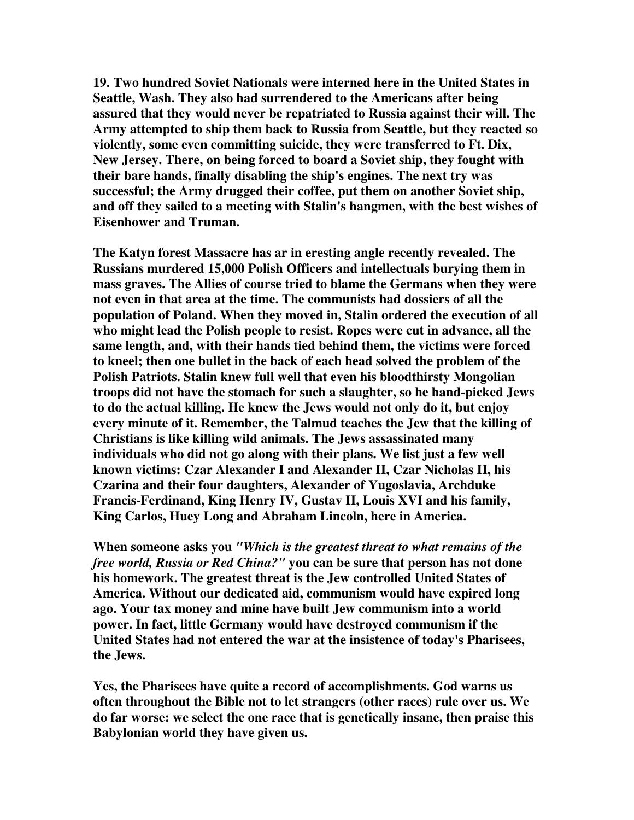**19. Two hundred Soviet Nationals were interned here in the United States in Seattle, Wash. They also had surrendered to the Americans after being assured that they would never be repatriated to Russia against their will. The Army attempted to ship them back to Russia from Seattle, but they reacted so violently, some even committing suicide, they were transferred to Ft. Dix, New Jersey. There, on being forced to board a Soviet ship, they fought with their bare hands, finally disabling the ship's engines. The next try was successful; the Army drugged their coffee, put them on another Soviet ship, and off they sailed to a meeting with Stalin's hangmen, with the best wishes of Eisenhower and Truman.** 

**The Katyn forest Massacre has ar in eresting angle recently revealed. The Russians murdered 15,000 Polish Officers and intellectuals burying them in mass graves. The Allies of course tried to blame the Germans when they were not even in that area at the time. The communists had dossiers of all the population of Poland. When they moved in, Stalin ordered the execution of all who might lead the Polish people to resist. Ropes were cut in advance, all the same length, and, with their hands tied behind them, the victims were forced to kneel; then one bullet in the back of each head solved the problem of the Polish Patriots. Stalin knew full well that even his bloodthirsty Mongolian troops did not have the stomach for such a slaughter, so he hand-picked Jews to do the actual killing. He knew the Jews would not only do it, but enjoy every minute of it. Remember, the Talmud teaches the Jew that the killing of Christians is like killing wild animals. The Jews assassinated many individuals who did not go along with their plans. We list just a few well known victims: Czar Alexander I and Alexander II, Czar Nicholas II, his Czarina and their four daughters, Alexander of Yugoslavia, Archduke Francis-Ferdinand, King Henry IV, Gustav II, Louis XVI and his family, King Carlos, Huey Long and Abraham Lincoln, here in America.** 

**When someone asks you** *"Which is the greatest threat to what remains of the free world, Russia or Red China?"* **you can be sure that person has not done his homework. The greatest threat is the Jew controlled United States of America. Without our dedicated aid, communism would have expired long ago. Your tax money and mine have built Jew communism into a world power. In fact, little Germany would have destroyed communism if the United States had not entered the war at the insistence of today's Pharisees, the Jews.** 

**Yes, the Pharisees have quite a record of accomplishments. God warns us often throughout the Bible not to let strangers (other races) rule over us. We do far worse: we select the one race that is genetically insane, then praise this Babylonian world they have given us.**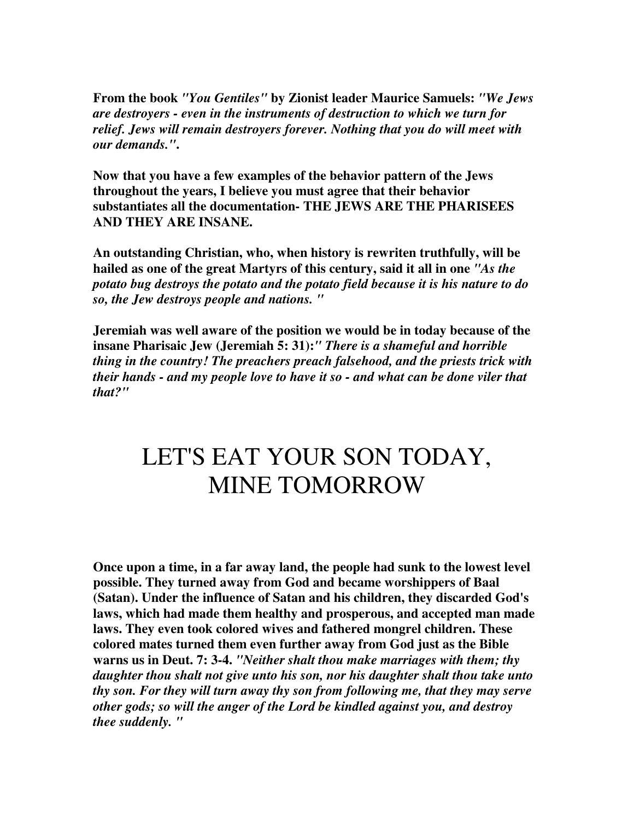**From the book** *"You Gentiles"* **by Zionist leader Maurice Samuels:** *"We Jews are destroyers - even in the instruments of destruction to which we turn for relief. Jews will remain destroyers forever. Nothing that you do will meet with our demands."***.** 

**Now that you have a few examples of the behavior pattern of the Jews throughout the years, I believe you must agree that their behavior substantiates all the documentation- THE JEWS ARE THE PHARISEES AND THEY ARE INSANE.** 

**An outstanding Christian, who, when history is rewriten truthfully, will be hailed as one of the great Martyrs of this century, said it all in one** *"As the potato bug destroys the potato and the potato field because it is his nature to do so, the Jew destroys people and nations. "*

**Jeremiah was well aware of the position we would be in today because of the insane Pharisaic Jew (Jeremiah 5: 31):***" There is a shameful and horrible thing in the country! The preachers preach falsehood, and the priests trick with their hands - and my people love to have it so - and what can be done viler that that?"*

# LET'S EAT YOUR SON TODAY, MINE TOMORROW

**Once upon a time, in a far away land, the people had sunk to the lowest level possible. They turned away from God and became worshippers of Baal (Satan). Under the influence of Satan and his children, they discarded God's laws, which had made them healthy and prosperous, and accepted man made laws. They even took colored wives and fathered mongrel children. These colored mates turned them even further away from God just as the Bible warns us in Deut. 7: 3-4.** *"Neither shalt thou make marriages with them; thy daughter thou shalt not give unto his son, nor his daughter shalt thou take unto thy son. For they will turn away thy son from following me, that they may serve other gods; so will the anger of the Lord be kindled against you, and destroy thee suddenly. "*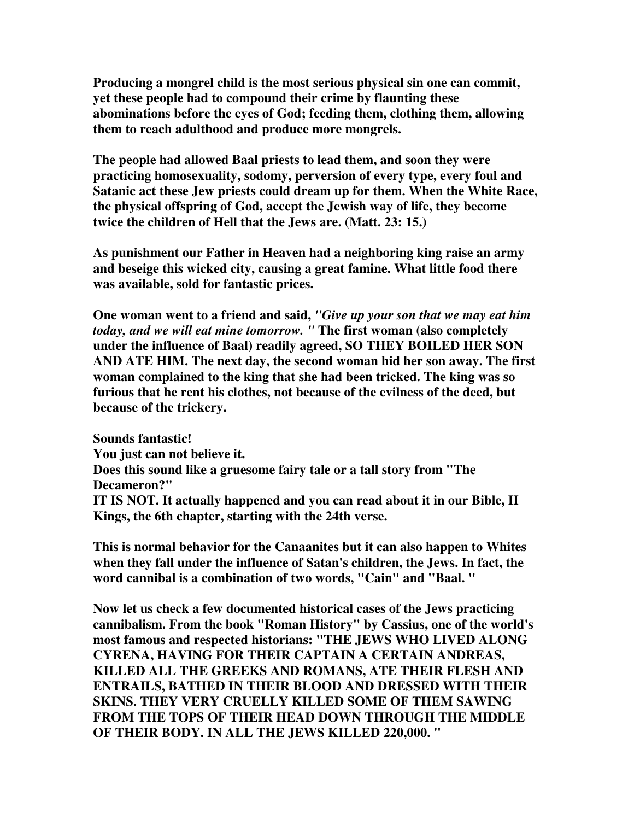**Producing a mongrel child is the most serious physical sin one can commit, yet these people had to compound their crime by flaunting these abominations before the eyes of God; feeding them, clothing them, allowing them to reach adulthood and produce more mongrels.** 

**The people had allowed Baal priests to lead them, and soon they were practicing homosexuality, sodomy, perversion of every type, every foul and Satanic act these Jew priests could dream up for them. When the White Race, the physical offspring of God, accept the Jewish way of life, they become twice the children of Hell that the Jews are. (Matt. 23: 15.)** 

**As punishment our Father in Heaven had a neighboring king raise an army and beseige this wicked city, causing a great famine. What little food there was available, sold for fantastic prices.** 

**One woman went to a friend and said,** *"Give up your son that we may eat him today, and we will eat mine tomorrow. "* **The first woman (also completely under the influence of Baal) readily agreed, SO THEY BOILED HER SON AND ATE HIM. The next day, the second woman hid her son away. The first woman complained to the king that she had been tricked. The king was so furious that he rent his clothes, not because of the evilness of the deed, but because of the trickery.** 

**Sounds fantastic! You just can not believe it. Does this sound like a gruesome fairy tale or a tall story from "The Decameron?" IT IS NOT. It actually happened and you can read about it in our Bible, II Kings, the 6th chapter, starting with the 24th verse.** 

**This is normal behavior for the Canaanites but it can also happen to Whites when they fall under the influence of Satan's children, the Jews. In fact, the word cannibal is a combination of two words, "Cain" and "Baal. "** 

**Now let us check a few documented historical cases of the Jews practicing cannibalism. From the book "Roman History" by Cassius, one of the world's most famous and respected historians: "THE JEWS WHO LIVED ALONG CYRENA, HAVING FOR THEIR CAPTAIN A CERTAIN ANDREAS, KILLED ALL THE GREEKS AND ROMANS, ATE THEIR FLESH AND ENTRAILS, BATHED IN THEIR BLOOD AND DRESSED WITH THEIR SKINS. THEY VERY CRUELLY KILLED SOME OF THEM SAWING FROM THE TOPS OF THEIR HEAD DOWN THROUGH THE MIDDLE OF THEIR BODY. IN ALL THE JEWS KILLED 220,000. "**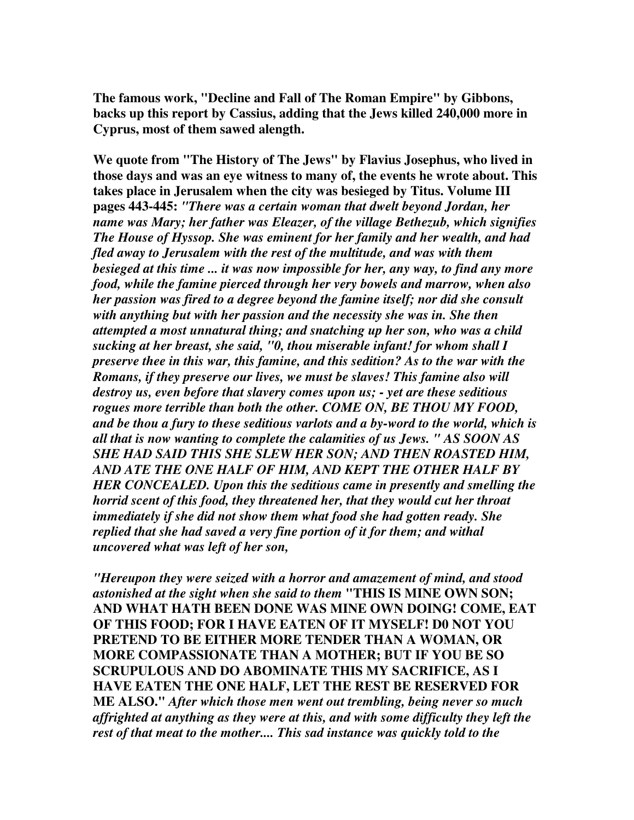**The famous work, "Decline and Fall of The Roman Empire" by Gibbons, backs up this report by Cassius, adding that the Jews killed 240,000 more in Cyprus, most of them sawed alength.** 

**We quote from "The History of The Jews" by Flavius Josephus, who lived in those days and was an eye witness to many of, the events he wrote about. This takes place in Jerusalem when the city was besieged by Titus. Volume III pages 443-445:** *"There was a certain woman that dwelt beyond Jordan, her name was Mary; her father was Eleazer, of the village Bethezub, which signifies The House of Hyssop. She was eminent for her family and her wealth, and had fled away to Jerusalem with the rest of the multitude, and was with them besieged at this time ... it was now impossible for her, any way, to find any more food, while the famine pierced through her very bowels and marrow, when also her passion was fired to a degree beyond the famine itself; nor did she consult with anything but with her passion and the necessity she was in. She then attempted a most unnatural thing; and snatching up her son, who was a child sucking at her breast, she said, "0, thou miserable infant! for whom shall I preserve thee in this war, this famine, and this sedition? As to the war with the Romans, if they preserve our lives, we must be slaves! This famine also will destroy us, even before that slavery comes upon us; - yet are these seditious rogues more terrible than both the other. COME ON, BE THOU MY FOOD, and be thou a fury to these seditious varlots and a by-word to the world, which is all that is now wanting to complete the calamities of us Jews. " AS SOON AS SHE HAD SAID THIS SHE SLEW HER SON; AND THEN ROASTED HIM, AND ATE THE ONE HALF OF HIM, AND KEPT THE OTHER HALF BY HER CONCEALED. Upon this the seditious came in presently and smelling the horrid scent of this food, they threatened her, that they would cut her throat immediately if she did not show them what food she had gotten ready. She replied that she had saved a very fine portion of it for them; and withal uncovered what was left of her son,* 

*"Hereupon they were seized with a horror and amazement of mind, and stood astonished at the sight when she said to them* **"THIS IS MINE OWN SON; AND WHAT HATH BEEN DONE WAS MINE OWN DOING! COME, EAT OF THIS FOOD; FOR I HAVE EATEN OF IT MYSELF! D0 NOT YOU PRETEND TO BE EITHER MORE TENDER THAN A WOMAN, OR MORE COMPASSIONATE THAN A MOTHER; BUT IF YOU BE SO SCRUPULOUS AND DO ABOMINATE THIS MY SACRIFICE, AS I HAVE EATEN THE ONE HALF, LET THE REST BE RESERVED FOR ME ALSO."** *After which those men went out trembling, being never so much affrighted at anything as they were at this, and with some difficulty they left the rest of that meat to the mother.... This sad instance was quickly told to the*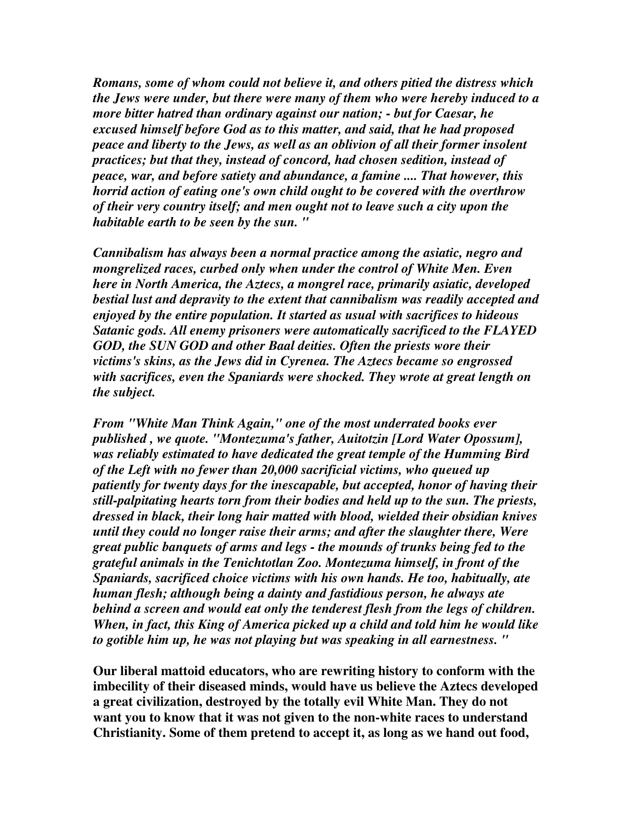*Romans, some of whom could not believe it, and others pitied the distress which the Jews were under, but there were many of them who were hereby induced to a more bitter hatred than ordinary against our nation; - but for Caesar, he excused himself before God as to this matter, and said, that he had proposed peace and liberty to the Jews, as well as an oblivion of all their former insolent practices; but that they, instead of concord, had chosen sedition, instead of peace, war, and before satiety and abundance, a famine .... That however, this horrid action of eating one's own child ought to be covered with the overthrow of their very country itself; and men ought not to leave such a city upon the habitable earth to be seen by the sun. "* 

*Cannibalism has always been a normal practice among the asiatic, negro and mongrelized races, curbed only when under the control of White Men. Even here in North America, the Aztecs, a mongrel race, primarily asiatic, developed bestial lust and depravity to the extent that cannibalism was readily accepted and enjoyed by the entire population. It started as usual with sacrifices to hideous Satanic gods. All enemy prisoners were automatically sacrificed to the FLAYED GOD, the SUN GOD and other Baal deities. Often the priests wore their victims's skins, as the Jews did in Cyrenea. The Aztecs became so engrossed with sacrifices, even the Spaniards were shocked. They wrote at great length on the subject.* 

*From "White Man Think Again," one of the most underrated books ever published , we quote. "Montezuma's father, Auitotzin [Lord Water Opossum], was reliably estimated to have dedicated the great temple of the Humming Bird of the Left with no fewer than 20,000 sacrificial victims, who queued up patiently for twenty days for the inescapable, but accepted, honor of having their still-palpitating hearts torn from their bodies and held up to the sun. The priests, dressed in black, their long hair matted with blood, wielded their obsidian knives until they could no longer raise their arms; and after the slaughter there, Were great public banquets of arms and legs - the mounds of trunks being fed to the grateful animals in the Tenichtotlan Zoo. Montezuma himself, in front of the Spaniards, sacrificed choice victims with his own hands. He too, habitually, ate human flesh; although being a dainty and fastidious person, he always ate behind a screen and would eat only the tenderest flesh from the legs of children. When, in fact, this King of America picked up a child and told him he would like to gotible him up, he was not playing but was speaking in all earnestness. "* 

**Our liberal mattoid educators, who are rewriting history to conform with the imbecility of their diseased minds, would have us believe the Aztecs developed a great civilization, destroyed by the totally evil White Man. They do not want you to know that it was not given to the non-white races to understand Christianity. Some of them pretend to accept it, as long as we hand out food,**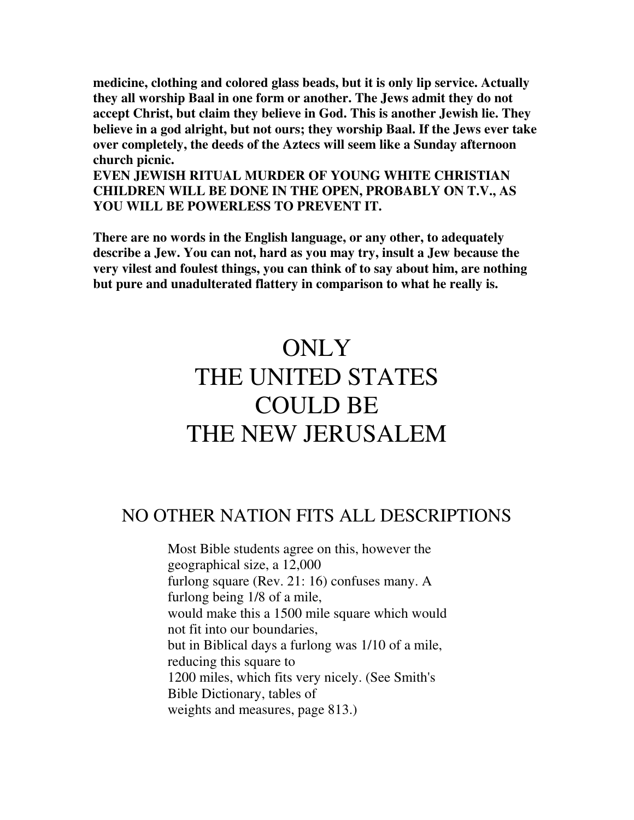**medicine, clothing and colored glass beads, but it is only lip service. Actually they all worship Baal in one form or another. The Jews admit they do not accept Christ, but claim they believe in God. This is another Jewish lie. They believe in a god alright, but not ours; they worship Baal. If the Jews ever take over completely, the deeds of the Aztecs will seem like a Sunday afternoon church picnic.** 

**EVEN JEWISH RITUAL MURDER OF YOUNG WHITE CHRISTIAN CHILDREN WILL BE DONE IN THE OPEN, PROBABLY ON T.V., AS YOU WILL BE POWERLESS TO PREVENT IT.** 

**There are no words in the English language, or any other, to adequately describe a Jew. You can not, hard as you may try, insult a Jew because the very vilest and foulest things, you can think of to say about him, are nothing but pure and unadulterated flattery in comparison to what he really is.** 

# **ONLY** THE UNITED STATES COULD BE THE NEW JERUSALEM

### NO OTHER NATION FITS ALL DESCRIPTIONS

Most Bible students agree on this, however the geographical size, a 12,000 furlong square (Rev. 21: 16) confuses many. A furlong being 1/8 of a mile, would make this a 1500 mile square which would not fit into our boundaries, but in Biblical days a furlong was 1/10 of a mile, reducing this square to 1200 miles, which fits very nicely. (See Smith's Bible Dictionary, tables of weights and measures, page 813.)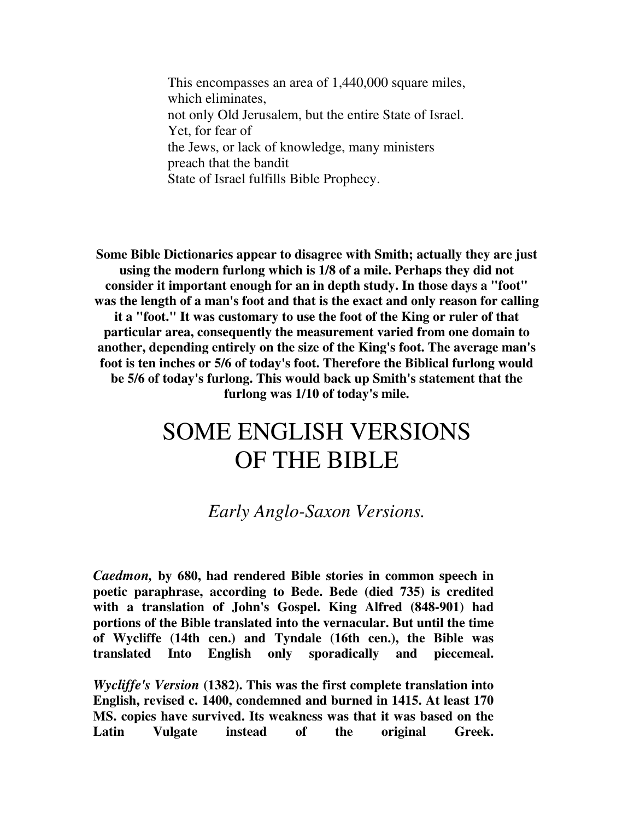This encompasses an area of 1,440,000 square miles, which eliminates, not only Old Jerusalem, but the entire State of Israel. Yet, for fear of the Jews, or lack of knowledge, many ministers preach that the bandit State of Israel fulfills Bible Prophecy.

**Some Bible Dictionaries appear to disagree with Smith; actually they are just using the modern furlong which is 1/8 of a mile. Perhaps they did not consider it important enough for an in depth study. In those days a "foot" was the length of a man's foot and that is the exact and only reason for calling it a "foot." It was customary to use the foot of the King or ruler of that particular area, consequently the measurement varied from one domain to another, depending entirely on the size of the King's foot. The average man's foot is ten inches or 5/6 of today's foot. Therefore the Biblical furlong would be 5/6 of today's furlong. This would back up Smith's statement that the furlong was 1/10 of today's mile.** 

# SOME ENGLISH VERSIONS OF THE BIBLE

### *Early Anglo-Saxon Versions.*

*Caedmon,* **by 680, had rendered Bible stories in common speech in poetic paraphrase, according to Bede. Bede (died 735) is credited with a translation of John's Gospel. King Alfred (848-901) had portions of the Bible translated into the vernacular. But until the time of Wycliffe (14th cen.) and Tyndale (16th cen.), the Bible was translated Into English only sporadically and piecemeal.** 

*Wycliffe's Version* **(1382). This was the first complete translation into English, revised c. 1400, condemned and burned in 1415. At least 170 MS. copies have survived. Its weakness was that it was based on the Latin Vulgate instead of the original Greek.**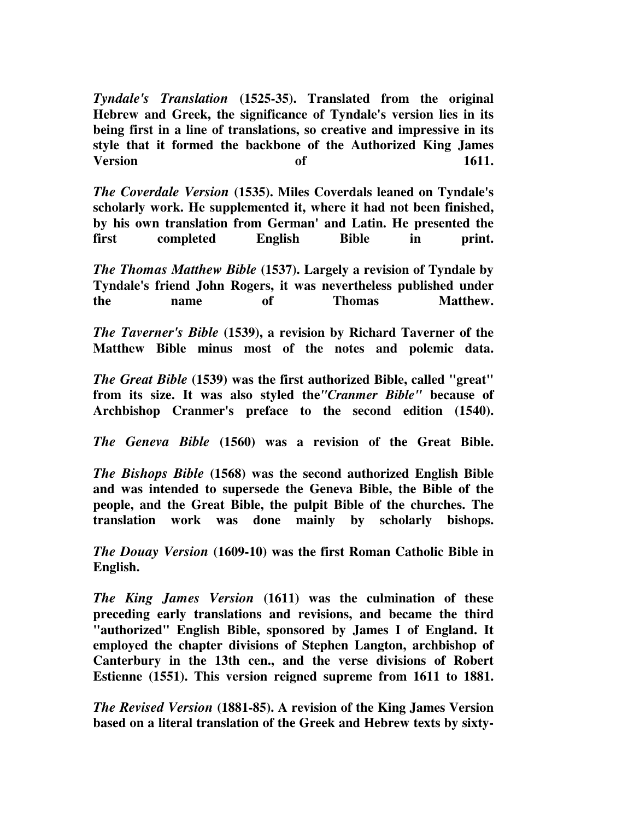*Tyndale's Translation* **(1525-35). Translated from the original Hebrew and Greek, the significance of Tyndale's version lies in its being first in a line of translations, so creative and impressive in its style that it formed the backbone of the Authorized King James Version of** 1611.

*The Coverdale Version* **(1535). Miles Coverdals leaned on Tyndale's scholarly work. He supplemented it, where it had not been finished, by his own translation from German' and Latin. He presented the first completed English Bible in print.** 

*The Thomas Matthew Bible* **(1537). Largely a revision of Tyndale by Tyndale's friend John Rogers, it was nevertheless published under the name of Thomas Matthew.** 

*The Taverner's Bible* **(1539), a revision by Richard Taverner of the Matthew Bible minus most of the notes and polemic data.** 

*The Great Bible* **(1539) was the first authorized Bible, called "great" from its size. It was also styled the***"Cranmer Bible"* **because of Archbishop Cranmer's preface to the second edition (1540).** 

*The Geneva Bible* **(1560) was a revision of the Great Bible.** 

*The Bishops Bible* **(1568) was the second authorized English Bible and was intended to supersede the Geneva Bible, the Bible of the people, and the Great Bible, the pulpit Bible of the churches. The translation work was done mainly by scholarly bishops.** 

*The Douay Version* **(1609-10) was the first Roman Catholic Bible in English.** 

*The King James Version* **(1611) was the culmination of these preceding early translations and revisions, and became the third "authorized" English Bible, sponsored by James I of England. It employed the chapter divisions of Stephen Langton, archbishop of Canterbury in the 13th cen., and the verse divisions of Robert Estienne (1551). This version reigned supreme from 1611 to 1881.** 

*The Revised Version* **(1881-85). A revision of the King James Version based on a literal translation of the Greek and Hebrew texts by sixty-**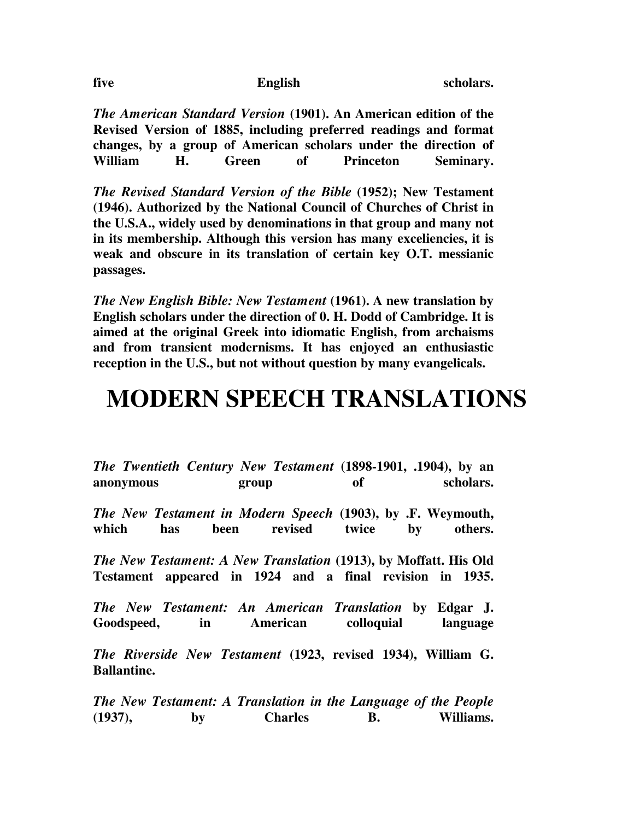| ngnsn |
|-------|
|-------|

**five** English Scholars.

*The American Standard Version* **(1901). An American edition of the Revised Version of 1885, including preferred readings and format changes, by a group of American scholars under the direction of William H. Green of Princeton Seminary.** 

*The Revised Standard Version of the Bible* **(1952); New Testament (1946). Authorized by the National Council of Churches of Christ in the U.S.A., widely used by denominations in that group and many not in its membership. Although this version has many exceliencies, it is weak and obscure in its translation of certain key O.T. messianic passages.** 

*The New English Bible: New Testament* **(1961). A new translation by English scholars under the direction of 0. H. Dodd of Cambridge. It is aimed at the original Greek into idiomatic English, from archaisms and from transient modernisms. It has enjoyed an enthusiastic reception in the U.S., but not without question by many evangelicals.** 

## **MODERN SPEECH TRANSLATIONS**

*The Twentieth Century New Testament* **(1898-1901, .1904), by an anonymous** group of scholars. *The New Testament in Modern Speech* **(1903), by .F. Weymouth, which has been revised twice by others.**  *The New Testament: A New Translation* **(1913), by Moffatt. His Old Testament appeared in 1924 and a final revision in 1935.**  *The New Testament: An American Translation* **by Edgar J. Goodspeed, in American colloquial language**  *The Riverside New Testament* **(1923, revised 1934), William G. Ballantine.**  *The New Testament: A Translation in the Language of the People* **(1937), by Charles B. Williams.**